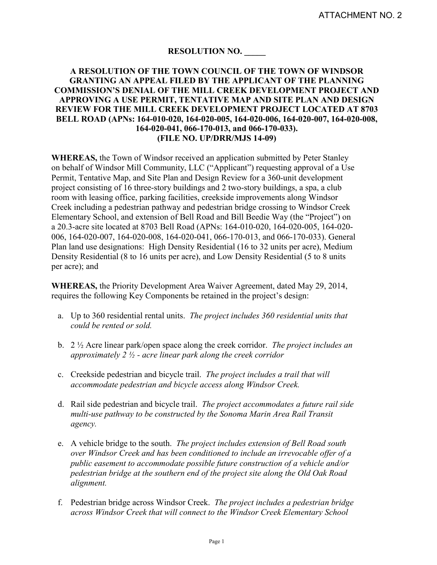# **RESOLUTION NO. \_\_\_\_\_**

#### **A RESOLUTION OF THE TOWN COUNCIL OF THE TOWN OF WINDSOR GRANTING AN APPEAL FILED BY THE APPLICANT OF THE PLANNING COMMISSION'S DENIAL OF THE MILL CREEK DEVELOPMENT PROJECT AND APPROVING A USE PERMIT, TENTATIVE MAP AND SITE PLAN AND DESIGN REVIEW FOR THE MILL CREEK DEVELOPMENT PROJECT LOCATED AT 8703 BELL ROAD (APNs: 164-010-020, 164-020-005, 164-020-006, 164-020-007, 164-020-008, 164-020-041, 066-170-013, and 066-170-033). (FILE NO. UP/DRR/MJS 14-09)**

**WHEREAS,** the Town of Windsor received an application submitted by Peter Stanley on behalf of Windsor Mill Community, LLC ("Applicant") requesting approval of a Use Permit, Tentative Map, and Site Plan and Design Review for a 360-unit development project consisting of 16 three-story buildings and 2 two-story buildings, a spa, a club room with leasing office, parking facilities, creekside improvements along Windsor Creek including a pedestrian pathway and pedestrian bridge crossing to Windsor Creek Elementary School, and extension of Bell Road and Bill Beedie Way (the "Project") on a 20.3-acre site located at 8703 Bell Road (APNs: 164-010-020, 164-020-005, 164-020- 006, 164-020-007, 164-020-008, 164-020-041, 066-170-013, and 066-170-033). General Plan land use designations: High Density Residential (16 to 32 units per acre), Medium Density Residential (8 to 16 units per acre), and Low Density Residential (5 to 8 units per acre); and

**WHEREAS,** the Priority Development Area Waiver Agreement, dated May 29, 2014, requires the following Key Components be retained in the project's design:

- a. Up to 360 residential rental units. *The project includes 360 residential units that could be rented or sold.*
- b. 2 ½ Acre linear park/open space along the creek corridor. *The project includes an approximately 2 ½ - acre linear park along the creek corridor*
- c. Creekside pedestrian and bicycle trail. *The project includes a trail that will accommodate pedestrian and bicycle access along Windsor Creek.*
- d. Rail side pedestrian and bicycle trail. *The project accommodates a future rail side multi-use pathway to be constructed by the Sonoma Marin Area Rail Transit agency.*
- e. A vehicle bridge to the south. *The project includes extension of Bell Road south over Windsor Creek and has been conditioned to include an irrevocable offer of a public easement to accommodate possible future construction of a vehicle and/or pedestrian bridge at the southern end of the project site along the Old Oak Road alignment.*
- f. Pedestrian bridge across Windsor Creek. *The project includes a pedestrian bridge across Windsor Creek that will connect to the Windsor Creek Elementary School*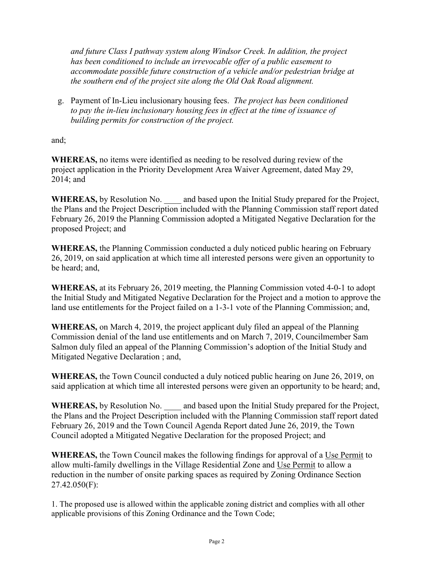*and future Class I pathway system along Windsor Creek. In addition, the project has been conditioned to include an irrevocable offer of a public easement to accommodate possible future construction of a vehicle and/or pedestrian bridge at the southern end of the project site along the Old Oak Road alignment.*

g. Payment of In-Lieu inclusionary housing fees. *The project has been conditioned to pay the in-lieu inclusionary housing fees in effect at the time of issuance of building permits for construction of the project.*

and;

**WHEREAS,** no items were identified as needing to be resolved during review of the project application in the Priority Development Area Waiver Agreement, dated May 29, 2014; and

WHEREAS, by Resolution No. \_\_\_\_ and based upon the Initial Study prepared for the Project, the Plans and the Project Description included with the Planning Commission staff report dated February 26, 2019 the Planning Commission adopted a Mitigated Negative Declaration for the proposed Project; and

**WHEREAS,** the Planning Commission conducted a duly noticed public hearing on February 26, 2019, on said application at which time all interested persons were given an opportunity to be heard; and,

**WHEREAS,** at its February 26, 2019 meeting, the Planning Commission voted 4-0-1 to adopt the Initial Study and Mitigated Negative Declaration for the Project and a motion to approve the land use entitlements for the Project failed on a 1-3-1 vote of the Planning Commission; and,

**WHEREAS,** on March 4, 2019, the project applicant duly filed an appeal of the Planning Commission denial of the land use entitlements and on March 7, 2019, Councilmember Sam Salmon duly filed an appeal of the Planning Commission's adoption of the Initial Study and Mitigated Negative Declaration ; and,

**WHEREAS,** the Town Council conducted a duly noticed public hearing on June 26, 2019, on said application at which time all interested persons were given an opportunity to be heard; and,

**WHEREAS,** by Resolution No. \_\_\_\_ and based upon the Initial Study prepared for the Project, the Plans and the Project Description included with the Planning Commission staff report dated February 26, 2019 and the Town Council Agenda Report dated June 26, 2019, the Town Council adopted a Mitigated Negative Declaration for the proposed Project; and

**WHEREAS,** the Town Council makes the following findings for approval of a Use Permit to allow multi-family dwellings in the Village Residential Zone and Use Permit to allow a reduction in the number of onsite parking spaces as required by Zoning Ordinance Section 27.42.050(F):

1. The proposed use is allowed within the applicable zoning district and complies with all other applicable provisions of this Zoning Ordinance and the Town Code;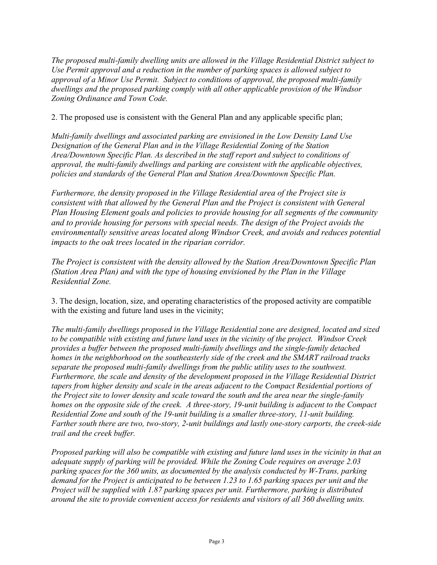*The proposed multi-family dwelling units are allowed in the Village Residential District subject to Use Permit approval and a reduction in the number of parking spaces is allowed subject to approval of a Minor Use Permit. Subject to conditions of approval, the proposed multi-family dwellings and the proposed parking comply with all other applicable provision of the Windsor Zoning Ordinance and Town Code.*

2. The proposed use is consistent with the General Plan and any applicable specific plan;

*Multi-family dwellings and associated parking are envisioned in the Low Density Land Use Designation of the General Plan and in the Village Residential Zoning of the Station Area/Downtown Specific Plan. As described in the staff report and subject to conditions of approval, the multi-family dwellings and parking are consistent with the applicable objectives, policies and standards of the General Plan and Station Area/Downtown Specific Plan.* 

*Furthermore, the density proposed in the Village Residential area of the Project site is consistent with that allowed by the General Plan and the Project is consistent with General Plan Housing Element goals and policies to provide housing for all segments of the community and to provide housing for persons with special needs. The design of the Project avoids the environmentally sensitive areas located along Windsor Creek, and avoids and reduces potential impacts to the oak trees located in the riparian corridor.*

*The Project is consistent with the density allowed by the Station Area/Downtown Specific Plan (Station Area Plan) and with the type of housing envisioned by the Plan in the Village Residential Zone.* 

3. The design, location, size, and operating characteristics of the proposed activity are compatible with the existing and future land uses in the vicinity;

*The multi-family dwellings proposed in the Village Residential zone are designed, located and sized to be compatible with existing and future land uses in the vicinity of the project. Windsor Creek provides a buffer between the proposed multi-family dwellings and the single-family detached homes in the neighborhood on the southeasterly side of the creek and the SMART railroad tracks separate the proposed multi-family dwellings from the public utility uses to the southwest. Furthermore, the scale and density of the development proposed in the Village Residential District tapers from higher density and scale in the areas adjacent to the Compact Residential portions of the Project site to lower density and scale toward the south and the area near the single-family homes on the opposite side of the creek. A three-story, 19-unit building is adjacent to the Compact Residential Zone and south of the 19-unit building is a smaller three-story, 11-unit building. Farther south there are two, two-story, 2-unit buildings and lastly one-story carports, the creek-side trail and the creek buffer.* 

*Proposed parking will also be compatible with existing and future land uses in the vicinity in that an adequate supply of parking will be provided. While the Zoning Code requires on average 2.03 parking spaces for the 360 units, as documented by the analysis conducted by W-Trans, parking demand for the Project is anticipated to be between 1.23 to 1.65 parking spaces per unit and the Project will be supplied with 1.87 parking spaces per unit. Furthermore, parking is distributed around the site to provide convenient access for residents and visitors of all 360 dwelling units.*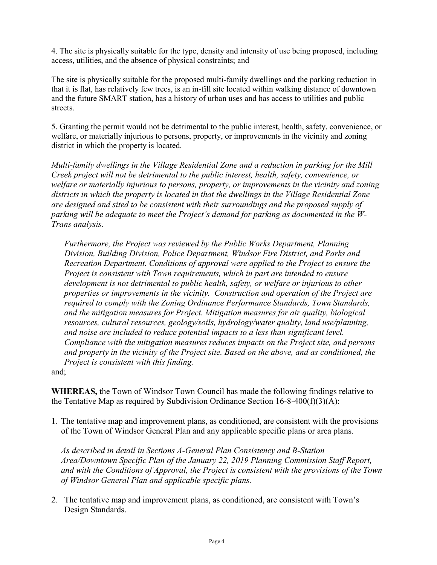4. The site is physically suitable for the type, density and intensity of use being proposed, including access, utilities, and the absence of physical constraints; and

The site is physically suitable for the proposed multi-family dwellings and the parking reduction in that it is flat, has relatively few trees, is an in-fill site located within walking distance of downtown and the future SMART station, has a history of urban uses and has access to utilities and public streets.

5. Granting the permit would not be detrimental to the public interest, health, safety, convenience, or welfare, or materially injurious to persons, property, or improvements in the vicinity and zoning district in which the property is located.

*Multi-family dwellings in the Village Residential Zone and a reduction in parking for the Mill Creek project will not be detrimental to the public interest, health, safety, convenience, or welfare or materially injurious to persons, property, or improvements in the vicinity and zoning districts in which the property is located in that the dwellings in the Village Residential Zone are designed and sited to be consistent with their surroundings and the proposed supply of parking will be adequate to meet the Project's demand for parking as documented in the W-Trans analysis.*

*Furthermore, the Project was reviewed by the Public Works Department, Planning Division, Building Division, Police Department, Windsor Fire District, and Parks and Recreation Department. Conditions of approval were applied to the Project to ensure the Project is consistent with Town requirements, which in part are intended to ensure development is not detrimental to public health, safety, or welfare or injurious to other properties or improvements in the vicinity. Construction and operation of the Project are required to comply with the Zoning Ordinance Performance Standards, Town Standards, and the mitigation measures for Project. Mitigation measures for air quality, biological resources, cultural resources, geology/soils, hydrology/water quality, land use/planning, and noise are included to reduce potential impacts to a less than significant level. Compliance with the mitigation measures reduces impacts on the Project site, and persons and property in the vicinity of the Project site. Based on the above, and as conditioned, the Project is consistent with this finding.*

and;

**WHEREAS,** the Town of Windsor Town Council has made the following findings relative to the Tentative Map as required by Subdivision Ordinance Section  $16-8-400(f)(3)(A)$ :

1. The tentative map and improvement plans, as conditioned, are consistent with the provisions of the Town of Windsor General Plan and any applicable specific plans or area plans.

*As described in detail in Sections A-General Plan Consistency and B-Station Area/Downtown Specific Plan of the January 22, 2019 Planning Commission Staff Report, and with the Conditions of Approval, the Project is consistent with the provisions of the Town of Windsor General Plan and applicable specific plans.*

2. The tentative map and improvement plans, as conditioned, are consistent with Town's Design Standards.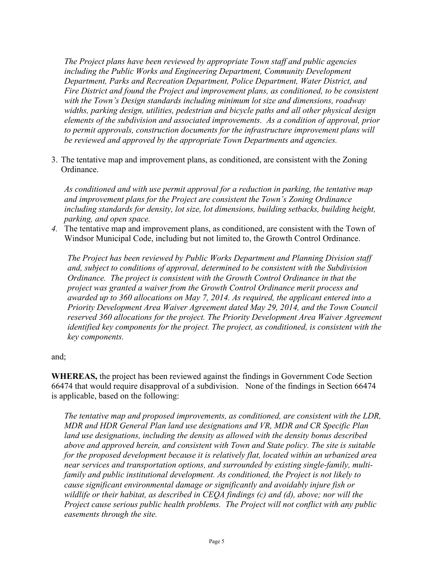*The Project plans have been reviewed by appropriate Town staff and public agencies including the Public Works and Engineering Department, Community Development Department, Parks and Recreation Department, Police Department, Water District, and Fire District and found the Project and improvement plans, as conditioned, to be consistent with the Town's Design standards including minimum lot size and dimensions, roadway widths, parking design, utilities, pedestrian and bicycle paths and all other physical design elements of the subdivision and associated improvements. As a condition of approval, prior to permit approvals, construction documents for the infrastructure improvement plans will be reviewed and approved by the appropriate Town Departments and agencies.*

3. The tentative map and improvement plans, as conditioned, are consistent with the Zoning Ordinance.

*As conditioned and with use permit approval for a reduction in parking, the tentative map and improvement plans for the Project are consistent the Town's Zoning Ordinance including standards for density, lot size, lot dimensions, building setbacks, building height, parking, and open space.*

*4.* The tentative map and improvement plans, as conditioned, are consistent with the Town of Windsor Municipal Code, including but not limited to, the Growth Control Ordinance.

*The Project has been reviewed by Public Works Department and Planning Division staff and, subject to conditions of approval, determined to be consistent with the Subdivision Ordinance. The project is consistent with the Growth Control Ordinance in that the project was granted a waiver from the Growth Control Ordinance merit process and awarded up to 360 allocations on May 7, 2014. As required, the applicant entered into a Priority Development Area Waiver Agreement dated May 29, 2014, and the Town Council reserved 360 allocations for the project. The Priority Development Area Waiver Agreement identified key components for the project. The project, as conditioned, is consistent with the key components.*

#### and;

**WHEREAS,** the project has been reviewed against the findings in Government Code Section 66474 that would require disapproval of a subdivision. None of the findings in Section 66474 is applicable, based on the following:

*The tentative map and proposed improvements, as conditioned, are consistent with the LDR, MDR and HDR General Plan land use designations and VR, MDR and CR Specific Plan land use designations, including the density as allowed with the density bonus described above and approved herein, and consistent with Town and State policy. The site is suitable for the proposed development because it is relatively flat, located within an urbanized area near services and transportation options, and surrounded by existing single-family, multifamily and public institutional development. As conditioned, the Project is not likely to cause significant environmental damage or significantly and avoidably injure fish or wildlife or their habitat, as described in CEQA findings (c) and (d), above; nor will the Project cause serious public health problems. The Project will not conflict with any public easements through the site.*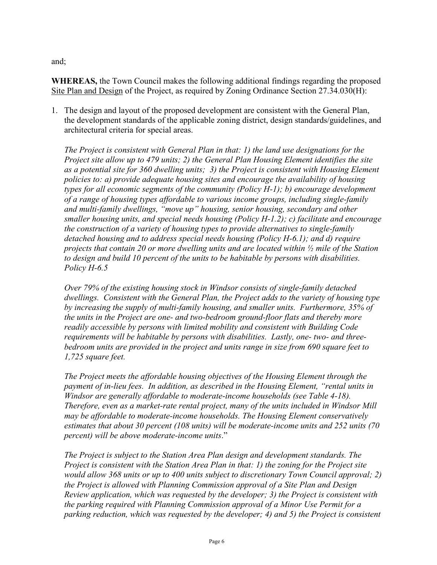and;

**WHEREAS,** the Town Council makes the following additional findings regarding the proposed Site Plan and Design of the Project, as required by Zoning Ordinance Section 27.34.030(H):

1. The design and layout of the proposed development are consistent with the General Plan, the development standards of the applicable zoning district, design standards/guidelines, and architectural criteria for special areas.

*The Project is consistent with General Plan in that: 1) the land use designations for the Project site allow up to 479 units; 2) the General Plan Housing Element identifies the site as a potential site for 360 dwelling units; 3) the Project is consistent with Housing Element policies to: a) provide adequate housing sites and encourage the availability of housing types for all economic segments of the community (Policy H-1); b) encourage development of a range of housing types affordable to various income groups, including single-family and multi-family dwellings, "move up" housing, senior housing, secondary and other smaller housing units, and special needs housing (Policy H-1.2); c) facilitate and encourage the construction of a variety of housing types to provide alternatives to single-family detached housing and to address special needs housing (Policy H-6.1); and d) require projects that contain 20 or more dwelling units and are located within ½ mile of the Station to design and build 10 percent of the units to be habitable by persons with disabilities. Policy H-6.5*

*Over 79% of the existing housing stock in Windsor consists of single-family detached dwellings. Consistent with the General Plan, the Project adds to the variety of housing type by increasing the supply of multi-family housing, and smaller units. Furthermore, 35% of the units in the Project are one- and two-bedroom ground-floor flats and thereby more readily accessible by persons with limited mobility and consistent with Building Code requirements will be habitable by persons with disabilities. Lastly, one- two- and threebedroom units are provided in the project and units range in size from 690 square feet to 1,725 square feet.*

*The Project meets the affordable housing objectives of the Housing Element through the payment of in-lieu fees. In addition, as described in the Housing Element, "rental units in Windsor are generally affordable to moderate-income households (see Table 4-18). Therefore, even as a market-rate rental project, many of the units included in Windsor Mill may be affordable to moderate-income households. The Housing Element conservatively estimates that about 30 percent (108 units) will be moderate-income units and 252 units (70 percent) will be above moderate-income units*."

*The Project is subject to the Station Area Plan design and development standards. The Project is consistent with the Station Area Plan in that: 1) the zoning for the Project site would allow 368 units or up to 400 units subject to discretionary Town Council approval; 2) the Project is allowed with Planning Commission approval of a Site Plan and Design Review application, which was requested by the developer; 3) the Project is consistent with the parking required with Planning Commission approval of a Minor Use Permit for a parking reduction, which was requested by the developer; 4) and 5) the Project is consistent*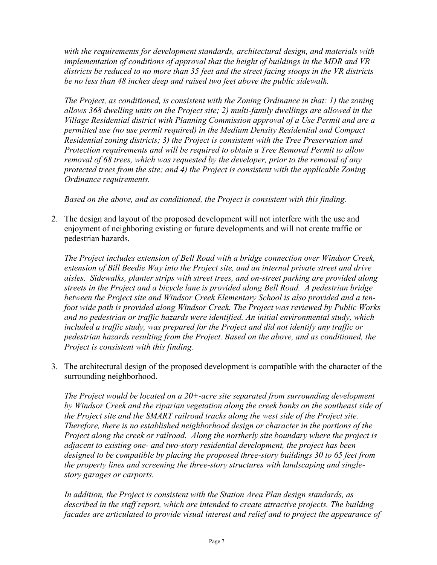*with the requirements for development standards, architectural design, and materials with implementation of conditions of approval that the height of buildings in the MDR and VR districts be reduced to no more than 35 feet and the street facing stoops in the VR districts be no less than 48 inches deep and raised two feet above the public sidewalk.*

*The Project, as conditioned, is consistent with the Zoning Ordinance in that: 1) the zoning allows 368 dwelling units on the Project site; 2) multi-family dwellings are allowed in the Village Residential district with Planning Commission approval of a Use Permit and are a permitted use (no use permit required) in the Medium Density Residential and Compact Residential zoning districts; 3) the Project is consistent with the Tree Preservation and Protection requirements and will be required to obtain a Tree Removal Permit to allow removal of 68 trees, which was requested by the developer, prior to the removal of any protected trees from the site; and 4) the Project is consistent with the applicable Zoning Ordinance requirements.* 

*Based on the above, and as conditioned, the Project is consistent with this finding.*

2. The design and layout of the proposed development will not interfere with the use and enjoyment of neighboring existing or future developments and will not create traffic or pedestrian hazards.

*The Project includes extension of Bell Road with a bridge connection over Windsor Creek, extension of Bill Beedie Way into the Project site, and an internal private street and drive aisles. Sidewalks, planter strips with street trees, and on-street parking are provided along streets in the Project and a bicycle lane is provided along Bell Road. A pedestrian bridge between the Project site and Windsor Creek Elementary School is also provided and a tenfoot wide path is provided along Windsor Creek. The Project was reviewed by Public Works and no pedestrian or traffic hazards were identified. An initial environmental study, which included a traffic study, was prepared for the Project and did not identify any traffic or pedestrian hazards resulting from the Project. Based on the above, and as conditioned, the Project is consistent with this finding.*

3. The architectural design of the proposed development is compatible with the character of the surrounding neighborhood.

*The Project would be located on a 20+-acre site separated from surrounding development by Windsor Creek and the riparian vegetation along the creek banks on the southeast side of the Project site and the SMART railroad tracks along the west side of the Project site. Therefore, there is no established neighborhood design or character in the portions of the Project along the creek or railroad. Along the northerly site boundary where the project is adjacent to existing one- and two-story residential development, the project has been designed to be compatible by placing the proposed three-story buildings 30 to 65 feet from the property lines and screening the three-story structures with landscaping and singlestory garages or carports.* 

*In addition, the Project is consistent with the Station Area Plan design standards, as described in the staff report, which are intended to create attractive projects. The building facades are articulated to provide visual interest and relief and to project the appearance of*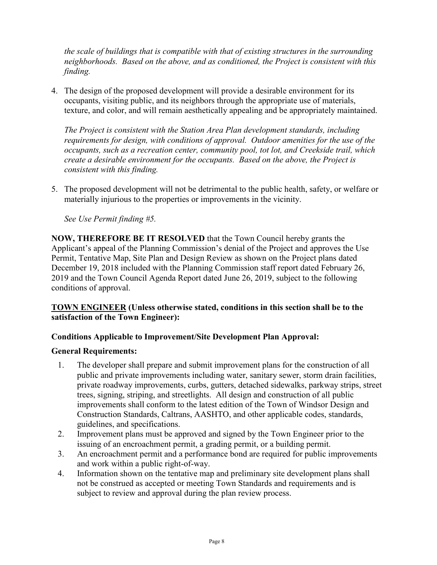*the scale of buildings that is compatible with that of existing structures in the surrounding neighborhoods. Based on the above, and as conditioned, the Project is consistent with this finding.*

4. The design of the proposed development will provide a desirable environment for its occupants, visiting public, and its neighbors through the appropriate use of materials, texture, and color, and will remain aesthetically appealing and be appropriately maintained.

*The Project is consistent with the Station Area Plan development standards, including requirements for design, with conditions of approval. Outdoor amenities for the use of the occupants, such as a recreation center, community pool, tot lot, and Creekside trail, which create a desirable environment for the occupants. Based on the above, the Project is consistent with this finding.*

5. The proposed development will not be detrimental to the public health, safety, or welfare or materially injurious to the properties or improvements in the vicinity.

*See Use Permit finding #5.* 

**NOW, THEREFORE BE IT RESOLVED** that the Town Council hereby grants the Applicant's appeal of the Planning Commission's denial of the Project and approves the Use Permit, Tentative Map, Site Plan and Design Review as shown on the Project plans dated December 19, 2018 included with the Planning Commission staff report dated February 26, 2019 and the Town Council Agenda Report dated June 26, 2019, subject to the following conditions of approval.

## **TOWN ENGINEER (Unless otherwise stated, conditions in this section shall be to the satisfaction of the Town Engineer):**

# **Conditions Applicable to Improvement/Site Development Plan Approval:**

## **General Requirements:**

- 1. The developer shall prepare and submit improvement plans for the construction of all public and private improvements including water, sanitary sewer, storm drain facilities, private roadway improvements, curbs, gutters, detached sidewalks, parkway strips, street trees, signing, striping, and streetlights. All design and construction of all public improvements shall conform to the latest edition of the Town of Windsor Design and Construction Standards, Caltrans, AASHTO, and other applicable codes, standards, guidelines, and specifications.
- 2. Improvement plans must be approved and signed by the Town Engineer prior to the issuing of an encroachment permit, a grading permit, or a building permit.
- 3. An encroachment permit and a performance bond are required for public improvements and work within a public right-of-way.
- 4. Information shown on the tentative map and preliminary site development plans shall not be construed as accepted or meeting Town Standards and requirements and is subject to review and approval during the plan review process.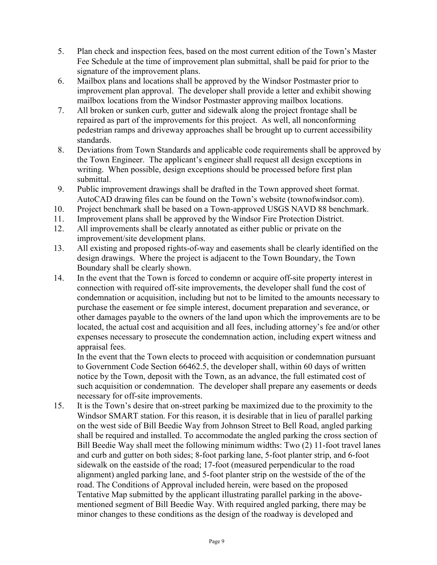- 5. Plan check and inspection fees, based on the most current edition of the Town's Master Fee Schedule at the time of improvement plan submittal, shall be paid for prior to the signature of the improvement plans.
- 6. Mailbox plans and locations shall be approved by the Windsor Postmaster prior to improvement plan approval. The developer shall provide a letter and exhibit showing mailbox locations from the Windsor Postmaster approving mailbox locations.
- 7. All broken or sunken curb, gutter and sidewalk along the project frontage shall be repaired as part of the improvements for this project. As well, all nonconforming pedestrian ramps and driveway approaches shall be brought up to current accessibility standards.
- 8. Deviations from Town Standards and applicable code requirements shall be approved by the Town Engineer. The applicant's engineer shall request all design exceptions in writing. When possible, design exceptions should be processed before first plan submittal.
- 9. Public improvement drawings shall be drafted in the Town approved sheet format. AutoCAD drawing files can be found on the Town's website (townofwindsor.com).
- 10. Project benchmark shall be based on a Town-approved USGS NAVD 88 benchmark.
- 11. Improvement plans shall be approved by the Windsor Fire Protection District.
- 12. All improvements shall be clearly annotated as either public or private on the improvement/site development plans.
- 13. All existing and proposed rights-of-way and easements shall be clearly identified on the design drawings. Where the project is adjacent to the Town Boundary, the Town Boundary shall be clearly shown.
- 14. In the event that the Town is forced to condemn or acquire off-site property interest in connection with required off-site improvements, the developer shall fund the cost of condemnation or acquisition, including but not to be limited to the amounts necessary to purchase the easement or fee simple interest, document preparation and severance, or other damages payable to the owners of the land upon which the improvements are to be located, the actual cost and acquisition and all fees, including attorney's fee and/or other expenses necessary to prosecute the condemnation action, including expert witness and appraisal fees.

In the event that the Town elects to proceed with acquisition or condemnation pursuant to Government Code Section 66462.5, the developer shall, within 60 days of written notice by the Town, deposit with the Town, as an advance, the full estimated cost of such acquisition or condemnation. The developer shall prepare any easements or deeds necessary for off-site improvements.

15. It is the Town's desire that on-street parking be maximized due to the proximity to the Windsor SMART station. For this reason, it is desirable that in lieu of parallel parking on the west side of Bill Beedie Way from Johnson Street to Bell Road, angled parking shall be required and installed. To accommodate the angled parking the cross section of Bill Beedie Way shall meet the following minimum widths: Two (2) 11-foot travel lanes and curb and gutter on both sides; 8-foot parking lane, 5-foot planter strip, and 6-foot sidewalk on the eastside of the road; 17-foot (measured perpendicular to the road alignment) angled parking lane, and 5-foot planter strip on the westside of the of the road. The Conditions of Approval included herein, were based on the proposed Tentative Map submitted by the applicant illustrating parallel parking in the abovementioned segment of Bill Beedie Way. With required angled parking, there may be minor changes to these conditions as the design of the roadway is developed and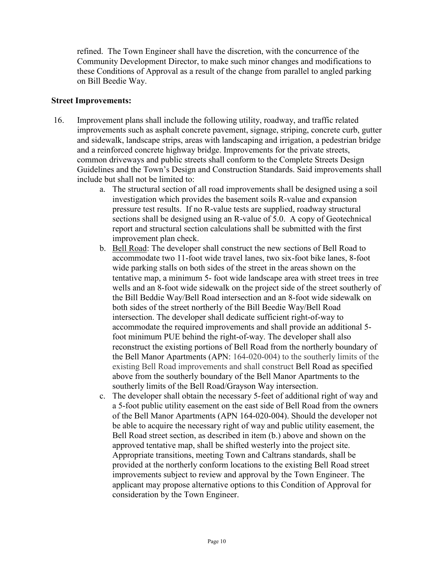refined. The Town Engineer shall have the discretion, with the concurrence of the Community Development Director, to make such minor changes and modifications to these Conditions of Approval as a result of the change from parallel to angled parking on Bill Beedie Way.

#### **Street Improvements:**

- 16. Improvement plans shall include the following utility, roadway, and traffic related improvements such as asphalt concrete pavement, signage, striping, concrete curb, gutter and sidewalk, landscape strips, areas with landscaping and irrigation, a pedestrian bridge and a reinforced concrete highway bridge. Improvements for the private streets, common driveways and public streets shall conform to the Complete Streets Design Guidelines and the Town's Design and Construction Standards. Said improvements shall include but shall not be limited to:
	- a. The structural section of all road improvements shall be designed using a soil investigation which provides the basement soils R-value and expansion pressure test results. If no R-value tests are supplied, roadway structural sections shall be designed using an R-value of 5.0. A copy of Geotechnical report and structural section calculations shall be submitted with the first improvement plan check.
	- b. Bell Road: The developer shall construct the new sections of Bell Road to accommodate two 11-foot wide travel lanes, two six-foot bike lanes, 8-foot wide parking stalls on both sides of the street in the areas shown on the tentative map, a minimum 5- foot wide landscape area with street trees in tree wells and an 8-foot wide sidewalk on the project side of the street southerly of the Bill Beddie Way/Bell Road intersection and an 8-foot wide sidewalk on both sides of the street northerly of the Bill Beedie Way/Bell Road intersection. The developer shall dedicate sufficient right-of-way to accommodate the required improvements and shall provide an additional 5 foot minimum PUE behind the right-of-way. The developer shall also reconstruct the existing portions of Bell Road from the northerly boundary of the Bell Manor Apartments (APN: 164-020-004) to the southerly limits of the existing Bell Road improvements and shall construct Bell Road as specified above from the southerly boundary of the Bell Manor Apartments to the southerly limits of the Bell Road/Grayson Way intersection.
	- c. The developer shall obtain the necessary 5-feet of additional right of way and a 5-foot public utility easement on the east side of Bell Road from the owners of the Bell Manor Apartments (APN 164-020-004). Should the developer not be able to acquire the necessary right of way and public utility easement, the Bell Road street section, as described in item (b.) above and shown on the approved tentative map, shall be shifted westerly into the project site. Appropriate transitions, meeting Town and Caltrans standards, shall be provided at the northerly conform locations to the existing Bell Road street improvements subject to review and approval by the Town Engineer. The applicant may propose alternative options to this Condition of Approval for consideration by the Town Engineer.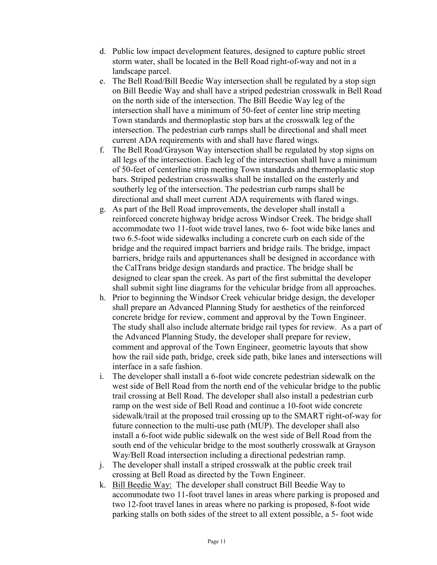- d. Public low impact development features, designed to capture public street storm water, shall be located in the Bell Road right-of-way and not in a landscape parcel.
- e. The Bell Road/Bill Beedie Way intersection shall be regulated by a stop sign on Bill Beedie Way and shall have a striped pedestrian crosswalk in Bell Road on the north side of the intersection. The Bill Beedie Way leg of the intersection shall have a minimum of 50-feet of center line strip meeting Town standards and thermoplastic stop bars at the crosswalk leg of the intersection. The pedestrian curb ramps shall be directional and shall meet current ADA requirements with and shall have flared wings.
- f. The Bell Road/Grayson Way intersection shall be regulated by stop signs on all legs of the intersection. Each leg of the intersection shall have a minimum of 50-feet of centerline strip meeting Town standards and thermoplastic stop bars. Striped pedestrian crosswalks shall be installed on the easterly and southerly leg of the intersection. The pedestrian curb ramps shall be directional and shall meet current ADA requirements with flared wings.
- g. As part of the Bell Road improvements, the developer shall install a reinforced concrete highway bridge across Windsor Creek. The bridge shall accommodate two 11-foot wide travel lanes, two 6- foot wide bike lanes and two 6.5-foot wide sidewalks including a concrete curb on each side of the bridge and the required impact barriers and bridge rails. The bridge, impact barriers, bridge rails and appurtenances shall be designed in accordance with the CalTrans bridge design standards and practice. The bridge shall be designed to clear span the creek. As part of the first submittal the developer shall submit sight line diagrams for the vehicular bridge from all approaches.
- h. Prior to beginning the Windsor Creek vehicular bridge design, the developer shall prepare an Advanced Planning Study for aesthetics of the reinforced concrete bridge for review, comment and approval by the Town Engineer. The study shall also include alternate bridge rail types for review. As a part of the Advanced Planning Study, the developer shall prepare for review, comment and approval of the Town Engineer, geometric layouts that show how the rail side path, bridge, creek side path, bike lanes and intersections will interface in a safe fashion.
- i. The developer shall install a 6-foot wide concrete pedestrian sidewalk on the west side of Bell Road from the north end of the vehicular bridge to the public trail crossing at Bell Road. The developer shall also install a pedestrian curb ramp on the west side of Bell Road and continue a 10-foot wide concrete sidewalk/trail at the proposed trail crossing up to the SMART right-of-way for future connection to the multi-use path (MUP). The developer shall also install a 6-foot wide public sidewalk on the west side of Bell Road from the south end of the vehicular bridge to the most southerly crosswalk at Grayson Way/Bell Road intersection including a directional pedestrian ramp.
- j. The developer shall install a striped crosswalk at the public creek trail crossing at Bell Road as directed by the Town Engineer.
- k. Bill Beedie Way: The developer shall construct Bill Beedie Way to accommodate two 11-foot travel lanes in areas where parking is proposed and two 12-foot travel lanes in areas where no parking is proposed, 8-foot wide parking stalls on both sides of the street to all extent possible, a 5- foot wide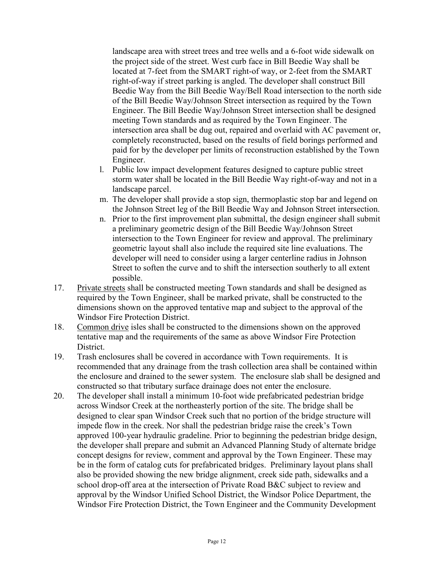landscape area with street trees and tree wells and a 6-foot wide sidewalk on the project side of the street. West curb face in Bill Beedie Way shall be located at 7-feet from the SMART right-of way, or 2-feet from the SMART right-of-way if street parking is angled. The developer shall construct Bill Beedie Way from the Bill Beedie Way/Bell Road intersection to the north side of the Bill Beedie Way/Johnson Street intersection as required by the Town Engineer. The Bill Beedie Way/Johnson Street intersection shall be designed meeting Town standards and as required by the Town Engineer. The intersection area shall be dug out, repaired and overlaid with AC pavement or, completely reconstructed, based on the results of field borings performed and paid for by the developer per limits of reconstruction established by the Town Engineer.

- l. Public low impact development features designed to capture public street storm water shall be located in the Bill Beedie Way right-of-way and not in a landscape parcel.
- m. The developer shall provide a stop sign, thermoplastic stop bar and legend on the Johnson Street leg of the Bill Beedie Way and Johnson Street intersection.
- n. Prior to the first improvement plan submittal, the design engineer shall submit a preliminary geometric design of the Bill Beedie Way/Johnson Street intersection to the Town Engineer for review and approval. The preliminary geometric layout shall also include the required site line evaluations. The developer will need to consider using a larger centerline radius in Johnson Street to soften the curve and to shift the intersection southerly to all extent possible.
- 17. Private streets shall be constructed meeting Town standards and shall be designed as required by the Town Engineer, shall be marked private, shall be constructed to the dimensions shown on the approved tentative map and subject to the approval of the Windsor Fire Protection District.
- 18. Common drive isles shall be constructed to the dimensions shown on the approved tentative map and the requirements of the same as above Windsor Fire Protection District.
- 19. Trash enclosures shall be covered in accordance with Town requirements. It is recommended that any drainage from the trash collection area shall be contained within the enclosure and drained to the sewer system. The enclosure slab shall be designed and constructed so that tributary surface drainage does not enter the enclosure.
- 20. The developer shall install a minimum 10-foot wide prefabricated pedestrian bridge across Windsor Creek at the northeasterly portion of the site. The bridge shall be designed to clear span Windsor Creek such that no portion of the bridge structure will impede flow in the creek. Nor shall the pedestrian bridge raise the creek's Town approved 100-year hydraulic gradeline. Prior to beginning the pedestrian bridge design, the developer shall prepare and submit an Advanced Planning Study of alternate bridge concept designs for review, comment and approval by the Town Engineer. These may be in the form of catalog cuts for prefabricated bridges. Preliminary layout plans shall also be provided showing the new bridge alignment, creek side path, sidewalks and a school drop-off area at the intersection of Private Road B&C subject to review and approval by the Windsor Unified School District, the Windsor Police Department, the Windsor Fire Protection District, the Town Engineer and the Community Development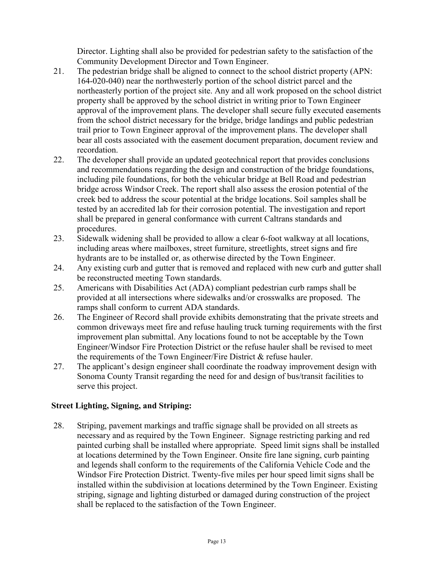Director. Lighting shall also be provided for pedestrian safety to the satisfaction of the Community Development Director and Town Engineer.

- 21. The pedestrian bridge shall be aligned to connect to the school district property (APN: 164-020-040) near the northwesterly portion of the school district parcel and the northeasterly portion of the project site. Any and all work proposed on the school district property shall be approved by the school district in writing prior to Town Engineer approval of the improvement plans. The developer shall secure fully executed easements from the school district necessary for the bridge, bridge landings and public pedestrian trail prior to Town Engineer approval of the improvement plans. The developer shall bear all costs associated with the easement document preparation, document review and recordation.
- 22. The developer shall provide an updated geotechnical report that provides conclusions and recommendations regarding the design and construction of the bridge foundations, including pile foundations, for both the vehicular bridge at Bell Road and pedestrian bridge across Windsor Creek. The report shall also assess the erosion potential of the creek bed to address the scour potential at the bridge locations. Soil samples shall be tested by an accredited lab for their corrosion potential. The investigation and report shall be prepared in general conformance with current Caltrans standards and procedures.
- 23. Sidewalk widening shall be provided to allow a clear 6-foot walkway at all locations, including areas where mailboxes, street furniture, streetlights, street signs and fire hydrants are to be installed or, as otherwise directed by the Town Engineer.
- 24. Any existing curb and gutter that is removed and replaced with new curb and gutter shall be reconstructed meeting Town standards.
- 25. Americans with Disabilities Act (ADA) compliant pedestrian curb ramps shall be provided at all intersections where sidewalks and/or crosswalks are proposed. The ramps shall conform to current ADA standards.
- 26. The Engineer of Record shall provide exhibits demonstrating that the private streets and common driveways meet fire and refuse hauling truck turning requirements with the first improvement plan submittal. Any locations found to not be acceptable by the Town Engineer/Windsor Fire Protection District or the refuse hauler shall be revised to meet the requirements of the Town Engineer/Fire District & refuse hauler.
- 27. The applicant's design engineer shall coordinate the roadway improvement design with Sonoma County Transit regarding the need for and design of bus/transit facilities to serve this project.

## **Street Lighting, Signing, and Striping:**

28. Striping, pavement markings and traffic signage shall be provided on all streets as necessary and as required by the Town Engineer. Signage restricting parking and red painted curbing shall be installed where appropriate. Speed limit signs shall be installed at locations determined by the Town Engineer. Onsite fire lane signing, curb painting and legends shall conform to the requirements of the California Vehicle Code and the Windsor Fire Protection District. Twenty-five miles per hour speed limit signs shall be installed within the subdivision at locations determined by the Town Engineer. Existing striping, signage and lighting disturbed or damaged during construction of the project shall be replaced to the satisfaction of the Town Engineer.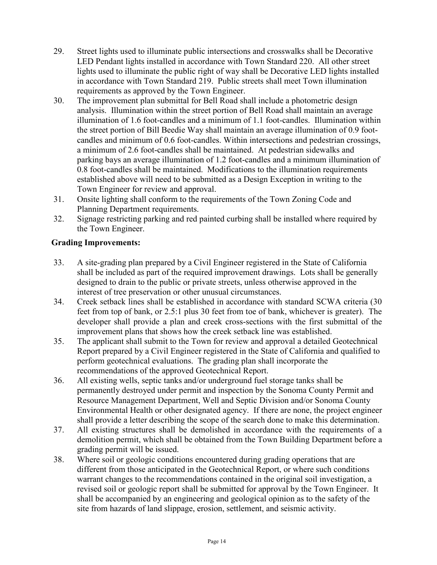- 29. Street lights used to illuminate public intersections and crosswalks shall be Decorative LED Pendant lights installed in accordance with Town Standard 220. All other street lights used to illuminate the public right of way shall be Decorative LED lights installed in accordance with Town Standard 219. Public streets shall meet Town illumination requirements as approved by the Town Engineer.
- 30. The improvement plan submittal for Bell Road shall include a photometric design analysis. Illumination within the street portion of Bell Road shall maintain an average illumination of 1.6 foot-candles and a minimum of 1.1 foot-candles. Illumination within the street portion of Bill Beedie Way shall maintain an average illumination of 0.9 footcandles and minimum of 0.6 foot-candles. Within intersections and pedestrian crossings, a minimum of 2.6 foot-candles shall be maintained. At pedestrian sidewalks and parking bays an average illumination of 1.2 foot-candles and a minimum illumination of 0.8 foot-candles shall be maintained. Modifications to the illumination requirements established above will need to be submitted as a Design Exception in writing to the Town Engineer for review and approval.
- 31. Onsite lighting shall conform to the requirements of the Town Zoning Code and Planning Department requirements.
- 32. Signage restricting parking and red painted curbing shall be installed where required by the Town Engineer.

## **Grading Improvements:**

- 33. A site-grading plan prepared by a Civil Engineer registered in the State of California shall be included as part of the required improvement drawings. Lots shall be generally designed to drain to the public or private streets, unless otherwise approved in the interest of tree preservation or other unusual circumstances.
- 34. Creek setback lines shall be established in accordance with standard SCWA criteria (30 feet from top of bank, or 2.5:1 plus 30 feet from toe of bank, whichever is greater). The developer shall provide a plan and creek cross-sections with the first submittal of the improvement plans that shows how the creek setback line was established.
- 35. The applicant shall submit to the Town for review and approval a detailed Geotechnical Report prepared by a Civil Engineer registered in the State of California and qualified to perform geotechnical evaluations. The grading plan shall incorporate the recommendations of the approved Geotechnical Report.
- 36. All existing wells, septic tanks and/or underground fuel storage tanks shall be permanently destroyed under permit and inspection by the Sonoma County Permit and Resource Management Department, Well and Septic Division and/or Sonoma County Environmental Health or other designated agency. If there are none, the project engineer shall provide a letter describing the scope of the search done to make this determination.
- 37. All existing structures shall be demolished in accordance with the requirements of a demolition permit, which shall be obtained from the Town Building Department before a grading permit will be issued.
- 38. Where soil or geologic conditions encountered during grading operations that are different from those anticipated in the Geotechnical Report, or where such conditions warrant changes to the recommendations contained in the original soil investigation, a revised soil or geologic report shall be submitted for approval by the Town Engineer. It shall be accompanied by an engineering and geological opinion as to the safety of the site from hazards of land slippage, erosion, settlement, and seismic activity.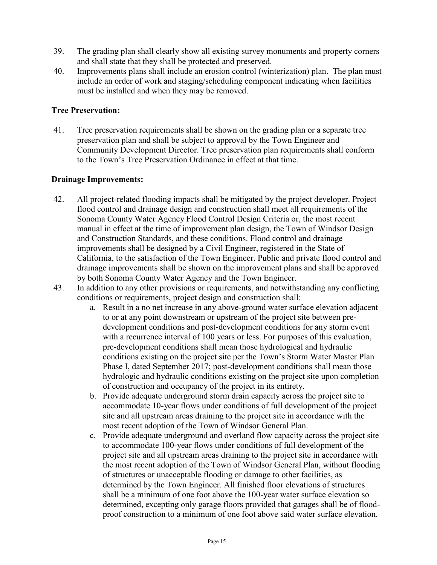- 39. The grading plan shall clearly show all existing survey monuments and property corners and shall state that they shall be protected and preserved.
- 40. Improvements plans shall include an erosion control (winterization) plan. The plan must include an order of work and staging/scheduling component indicating when facilities must be installed and when they may be removed.

#### **Tree Preservation:**

41. Tree preservation requirements shall be shown on the grading plan or a separate tree preservation plan and shall be subject to approval by the Town Engineer and Community Development Director. Tree preservation plan requirements shall conform to the Town's Tree Preservation Ordinance in effect at that time.

#### **Drainage Improvements:**

- 42. All project-related flooding impacts shall be mitigated by the project developer. Project flood control and drainage design and construction shall meet all requirements of the Sonoma County Water Agency Flood Control Design Criteria or, the most recent manual in effect at the time of improvement plan design, the Town of Windsor Design and Construction Standards, and these conditions. Flood control and drainage improvements shall be designed by a Civil Engineer, registered in the State of California, to the satisfaction of the Town Engineer. Public and private flood control and drainage improvements shall be shown on the improvement plans and shall be approved by both Sonoma County Water Agency and the Town Engineer.
- 43. In addition to any other provisions or requirements, and notwithstanding any conflicting conditions or requirements, project design and construction shall:
	- a. Result in a no net increase in any above-ground water surface elevation adjacent to or at any point downstream or upstream of the project site between predevelopment conditions and post-development conditions for any storm event with a recurrence interval of 100 years or less. For purposes of this evaluation, pre-development conditions shall mean those hydrological and hydraulic conditions existing on the project site per the Town's Storm Water Master Plan Phase I, dated September 2017; post-development conditions shall mean those hydrologic and hydraulic conditions existing on the project site upon completion of construction and occupancy of the project in its entirety.
	- b. Provide adequate underground storm drain capacity across the project site to accommodate 10-year flows under conditions of full development of the project site and all upstream areas draining to the project site in accordance with the most recent adoption of the Town of Windsor General Plan.
	- c. Provide adequate underground and overland flow capacity across the project site to accommodate 100-year flows under conditions of full development of the project site and all upstream areas draining to the project site in accordance with the most recent adoption of the Town of Windsor General Plan, without flooding of structures or unacceptable flooding or damage to other facilities, as determined by the Town Engineer. All finished floor elevations of structures shall be a minimum of one foot above the 100-year water surface elevation so determined, excepting only garage floors provided that garages shall be of floodproof construction to a minimum of one foot above said water surface elevation.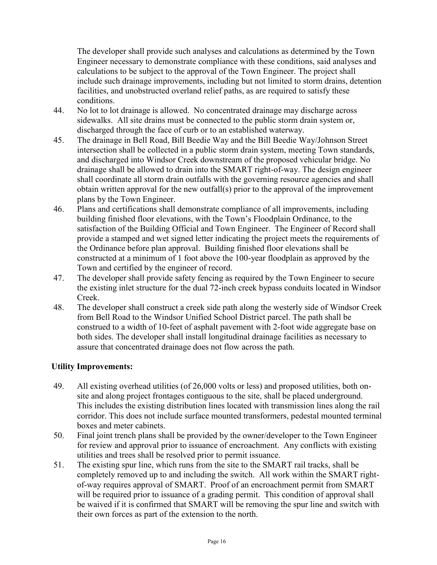The developer shall provide such analyses and calculations as determined by the Town Engineer necessary to demonstrate compliance with these conditions, said analyses and calculations to be subject to the approval of the Town Engineer. The project shall include such drainage improvements, including but not limited to storm drains, detention facilities, and unobstructed overland relief paths, as are required to satisfy these conditions.

- 44. No lot to lot drainage is allowed. No concentrated drainage may discharge across sidewalks. All site drains must be connected to the public storm drain system or, discharged through the face of curb or to an established waterway.
- 45. The drainage in Bell Road, Bill Beedie Way and the Bill Beedie Way/Johnson Street intersection shall be collected in a public storm drain system, meeting Town standards, and discharged into Windsor Creek downstream of the proposed vehicular bridge. No drainage shall be allowed to drain into the SMART right-of-way. The design engineer shall coordinate all storm drain outfalls with the governing resource agencies and shall obtain written approval for the new outfall(s) prior to the approval of the improvement plans by the Town Engineer.
- 46. Plans and certifications shall demonstrate compliance of all improvements, including building finished floor elevations, with the Town's Floodplain Ordinance, to the satisfaction of the Building Official and Town Engineer. The Engineer of Record shall provide a stamped and wet signed letter indicating the project meets the requirements of the Ordinance before plan approval. Building finished floor elevations shall be constructed at a minimum of 1 foot above the 100-year floodplain as approved by the Town and certified by the engineer of record.
- 47. The developer shall provide safety fencing as required by the Town Engineer to secure the existing inlet structure for the dual 72-inch creek bypass conduits located in Windsor Creek.
- 48. The developer shall construct a creek side path along the westerly side of Windsor Creek from Bell Road to the Windsor Unified School District parcel. The path shall be construed to a width of 10-feet of asphalt pavement with 2-foot wide aggregate base on both sides. The developer shall install longitudinal drainage facilities as necessary to assure that concentrated drainage does not flow across the path.

## **Utility Improvements:**

- 49. All existing overhead utilities (of 26,000 volts or less) and proposed utilities, both onsite and along project frontages contiguous to the site, shall be placed underground. This includes the existing distribution lines located with transmission lines along the rail corridor. This does not include surface mounted transformers, pedestal mounted terminal boxes and meter cabinets.
- 50. Final joint trench plans shall be provided by the owner/developer to the Town Engineer for review and approval prior to issuance of encroachment. Any conflicts with existing utilities and trees shall be resolved prior to permit issuance.
- 51. The existing spur line, which runs from the site to the SMART rail tracks, shall be completely removed up to and including the switch. All work within the SMART rightof-way requires approval of SMART. Proof of an encroachment permit from SMART will be required prior to issuance of a grading permit. This condition of approval shall be waived if it is confirmed that SMART will be removing the spur line and switch with their own forces as part of the extension to the north.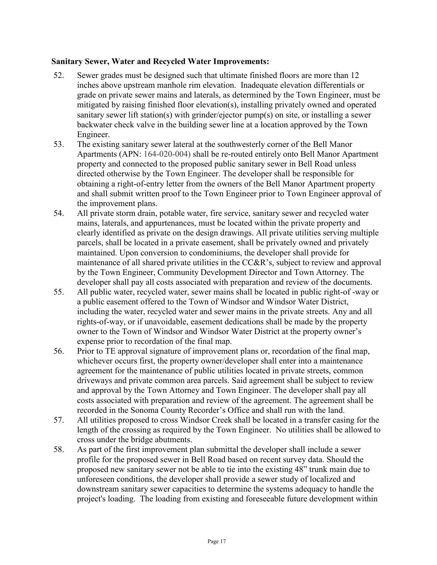#### **Sanitary Sewer, Water and Recycled Water Improvements:**

- 52. Sewer grades must be designed such that ultimate finished floors are more than 12 inches above upstream manhole rim elevation. Inadequate elevation differentials or grade on private sewer mains and laterals, as determined by the Town Engineer, must be mitigated by raising finished floor elevation(s), installing privately owned and operated sanitary sewer lift station(s) with grinder/ejector pump(s) on site, or installing a sewer backwater check valve in the building sewer line at a location approved by the Town Engineer.
- 53. The existing sanitary sewer lateral at the southwesterly corner of the Bell Manor Apartments (APN: 164-020-004) shall be re-routed entirely onto Bell Manor Apartment property and connected to the proposed public sanitary sewer in Bell Road unless directed otherwise by the Town Engineer. The developer shall be responsible for obtaining a right-of-entry letter from the owners of the Bell Manor Apartment property and shall submit written proof to the Town Engineer prior to Town Engineer approval of the improvement plans.
- 54. All private storm drain, potable water, fire service, sanitary sewer and recycled water mains, laterals, and appurtenances, must be located within the private property and clearly identified as private on the design drawings. All private utilities serving multiple parcels, shall be located in a private easement, shall be privately owned and privately maintained. Upon conversion to condominiums, the developer shall provide for maintenance of all shared private utilities in the CC&R's, subject to review and approval by the Town Engineer, Community Development Director and Town Attorney. The developer shall pay all costs associated with preparation and review of the documents.
- 55. All public water, recycled water, sewer mains shall be located in public right-of -way or a public easement offered to the Town of Windsor and Windsor Water District, including the water, recycled water and sewer mains in the private streets. Any and all rights-of-way, or if unavoidable, easement dedications shall be made by the property owner to the Town of Windsor and Windsor Water District at the property owner's expense prior to recordation of the final map.
- 56. Prior to TE approval signature of improvement plans or, recordation of the final map, whichever occurs first, the property owner/developer shall enter into a maintenance agreement for the maintenance of public utilities located in private streets, common driveways and private common area parcels. Said agreement shall be subject to review and approval by the Town Attorney and Town Engineer. The developer shall pay all costs associated with preparation and review of the agreement. The agreement shall be recorded in the Sonoma County Recorder's Office and shall run with the land.
- 57. All utilities proposed to cross Windsor Creek shall be located in a transfer casing for the length of the crossing as required by the Town Engineer. No utilities shall be allowed to cross under the bridge abutments.
- 58. As part of the first improvement plan submittal the developer shall include a sewer profile for the proposed sewer in Bell Road based on recent survey data. Should the proposed new sanitary sewer not be able to tie into the existing 48" trunk main due to unforeseen conditions, the developer shall provide a sewer study of localized and downstream sanitary sewer capacities to determine the systems adequacy to handle the project's loading. The loading from existing and foreseeable future development within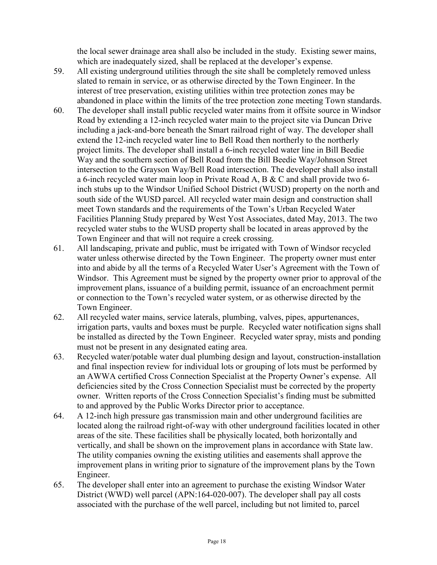the local sewer drainage area shall also be included in the study. Existing sewer mains, which are inadequately sized, shall be replaced at the developer's expense.

- 59. All existing underground utilities through the site shall be completely removed unless slated to remain in service, or as otherwise directed by the Town Engineer. In the interest of tree preservation, existing utilities within tree protection zones may be abandoned in place within the limits of the tree protection zone meeting Town standards.
- 60. The developer shall install public recycled water mains from it offsite source in Windsor Road by extending a 12-inch recycled water main to the project site via Duncan Drive including a jack-and-bore beneath the Smart railroad right of way. The developer shall extend the 12-inch recycled water line to Bell Road then northerly to the northerly project limits. The developer shall install a 6-inch recycled water line in Bill Beedie Way and the southern section of Bell Road from the Bill Beedie Way/Johnson Street intersection to the Grayson Way/Bell Road intersection. The developer shall also install a 6-inch recycled water main loop in Private Road A, B & C and shall provide two 6 inch stubs up to the Windsor Unified School District (WUSD) property on the north and south side of the WUSD parcel. All recycled water main design and construction shall meet Town standards and the requirements of the Town's Urban Recycled Water Facilities Planning Study prepared by West Yost Associates, dated May, 2013. The two recycled water stubs to the WUSD property shall be located in areas approved by the Town Engineer and that will not require a creek crossing.
- 61. All landscaping, private and public, must be irrigated with Town of Windsor recycled water unless otherwise directed by the Town Engineer. The property owner must enter into and abide by all the terms of a Recycled Water User's Agreement with the Town of Windsor. This Agreement must be signed by the property owner prior to approval of the improvement plans, issuance of a building permit, issuance of an encroachment permit or connection to the Town's recycled water system, or as otherwise directed by the Town Engineer.
- 62. All recycled water mains, service laterals, plumbing, valves, pipes, appurtenances, irrigation parts, vaults and boxes must be purple. Recycled water notification signs shall be installed as directed by the Town Engineer. Recycled water spray, mists and ponding must not be present in any designated eating area.
- 63. Recycled water/potable water dual plumbing design and layout, construction-installation and final inspection review for individual lots or grouping of lots must be performed by an AWWA certified Cross Connection Specialist at the Property Owner's expense. All deficiencies sited by the Cross Connection Specialist must be corrected by the property owner. Written reports of the Cross Connection Specialist's finding must be submitted to and approved by the Public Works Director prior to acceptance.
- 64. A 12-inch high pressure gas transmission main and other underground facilities are located along the railroad right-of-way with other underground facilities located in other areas of the site. These facilities shall be physically located, both horizontally and vertically, and shall be shown on the improvement plans in accordance with State law. The utility companies owning the existing utilities and easements shall approve the improvement plans in writing prior to signature of the improvement plans by the Town Engineer.
- 65. The developer shall enter into an agreement to purchase the existing Windsor Water District (WWD) well parcel (APN:164-020-007). The developer shall pay all costs associated with the purchase of the well parcel, including but not limited to, parcel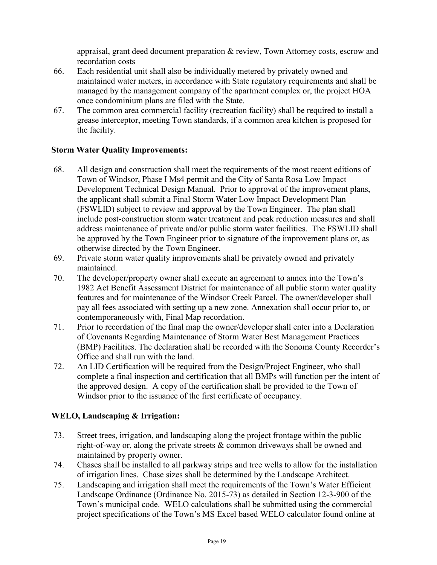appraisal, grant deed document preparation & review, Town Attorney costs, escrow and recordation costs

- 66. Each residential unit shall also be individually metered by privately owned and maintained water meters, in accordance with State regulatory requirements and shall be managed by the management company of the apartment complex or, the project HOA once condominium plans are filed with the State.
- 67. The common area commercial facility (recreation facility) shall be required to install a grease interceptor, meeting Town standards, if a common area kitchen is proposed for the facility.

## **Storm Water Quality Improvements:**

- 68. All design and construction shall meet the requirements of the most recent editions of Town of Windsor, Phase I Ms4 permit and the City of Santa Rosa Low Impact Development Technical Design Manual. Prior to approval of the improvement plans, the applicant shall submit a Final Storm Water Low Impact Development Plan (FSWLID) subject to review and approval by the Town Engineer. The plan shall include post-construction storm water treatment and peak reduction measures and shall address maintenance of private and/or public storm water facilities. The FSWLID shall be approved by the Town Engineer prior to signature of the improvement plans or, as otherwise directed by the Town Engineer.
- 69. Private storm water quality improvements shall be privately owned and privately maintained.
- 70. The developer/property owner shall execute an agreement to annex into the Town's 1982 Act Benefit Assessment District for maintenance of all public storm water quality features and for maintenance of the Windsor Creek Parcel. The owner/developer shall pay all fees associated with setting up a new zone. Annexation shall occur prior to, or contemporaneously with, Final Map recordation.
- 71. Prior to recordation of the final map the owner/developer shall enter into a Declaration of Covenants Regarding Maintenance of Storm Water Best Management Practices (BMP) Facilities. The declaration shall be recorded with the Sonoma County Recorder's Office and shall run with the land.
- 72. An LID Certification will be required from the Design/Project Engineer, who shall complete a final inspection and certification that all BMPs will function per the intent of the approved design. A copy of the certification shall be provided to the Town of Windsor prior to the issuance of the first certificate of occupancy.

# **WELO, Landscaping & Irrigation:**

- 73. Street trees, irrigation, and landscaping along the project frontage within the public right-of-way or, along the private streets & common driveways shall be owned and maintained by property owner.
- 74. Chases shall be installed to all parkway strips and tree wells to allow for the installation of irrigation lines. Chase sizes shall be determined by the Landscape Architect.
- 75. Landscaping and irrigation shall meet the requirements of the Town's Water Efficient Landscape Ordinance (Ordinance No. 2015-73) as detailed in Section 12-3-900 of the Town's municipal code. WELO calculations shall be submitted using the commercial project specifications of the Town's MS Excel based WELO calculator found online at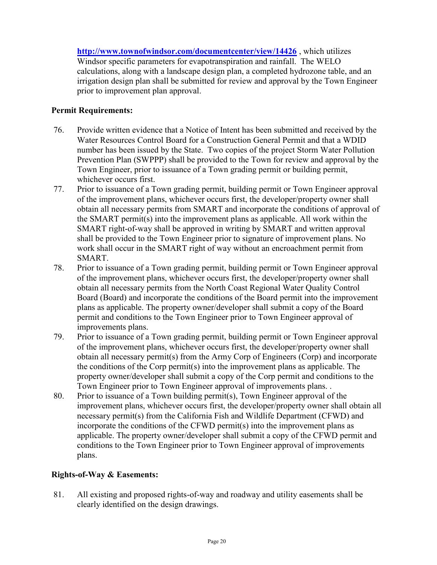**<http://www.townofwindsor.com/documentcenter/view/14426>** , which utilizes Windsor specific parameters for evapotranspiration and rainfall. The WELO calculations, along with a landscape design plan, a completed hydrozone table, and an irrigation design plan shall be submitted for review and approval by the Town Engineer prior to improvement plan approval.

## **Permit Requirements:**

- 76. Provide written evidence that a Notice of Intent has been submitted and received by the Water Resources Control Board for a Construction General Permit and that a WDID number has been issued by the State. Two copies of the project Storm Water Pollution Prevention Plan (SWPPP) shall be provided to the Town for review and approval by the Town Engineer, prior to issuance of a Town grading permit or building permit, whichever occurs first.
- 77. Prior to issuance of a Town grading permit, building permit or Town Engineer approval of the improvement plans, whichever occurs first, the developer/property owner shall obtain all necessary permits from SMART and incorporate the conditions of approval of the SMART permit(s) into the improvement plans as applicable. All work within the SMART right-of-way shall be approved in writing by SMART and written approval shall be provided to the Town Engineer prior to signature of improvement plans. No work shall occur in the SMART right of way without an encroachment permit from SMART.
- 78. Prior to issuance of a Town grading permit, building permit or Town Engineer approval of the improvement plans, whichever occurs first, the developer/property owner shall obtain all necessary permits from the North Coast Regional Water Quality Control Board (Board) and incorporate the conditions of the Board permit into the improvement plans as applicable. The property owner/developer shall submit a copy of the Board permit and conditions to the Town Engineer prior to Town Engineer approval of improvements plans.
- 79. Prior to issuance of a Town grading permit, building permit or Town Engineer approval of the improvement plans, whichever occurs first, the developer/property owner shall obtain all necessary permit(s) from the Army Corp of Engineers (Corp) and incorporate the conditions of the Corp permit(s) into the improvement plans as applicable. The property owner/developer shall submit a copy of the Corp permit and conditions to the Town Engineer prior to Town Engineer approval of improvements plans. .
- 80. Prior to issuance of a Town building permit(s), Town Engineer approval of the improvement plans, whichever occurs first, the developer/property owner shall obtain all necessary permit(s) from the California Fish and Wildlife Department (CFWD) and incorporate the conditions of the CFWD permit(s) into the improvement plans as applicable. The property owner/developer shall submit a copy of the CFWD permit and conditions to the Town Engineer prior to Town Engineer approval of improvements plans.

## **Rights-of-Way & Easements:**

81. All existing and proposed rights-of-way and roadway and utility easements shall be clearly identified on the design drawings.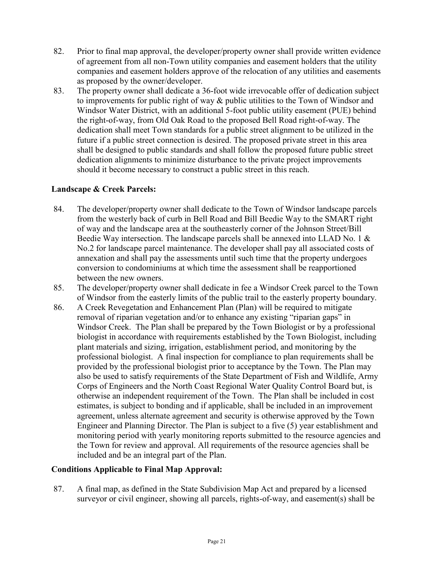- 82. Prior to final map approval, the developer/property owner shall provide written evidence of agreement from all non-Town utility companies and easement holders that the utility companies and easement holders approve of the relocation of any utilities and easements as proposed by the owner/developer.
- 83. The property owner shall dedicate a 36-foot wide irrevocable offer of dedication subject to improvements for public right of way & public utilities to the Town of Windsor and Windsor Water District, with an additional 5-foot public utility easement (PUE) behind the right-of-way, from Old Oak Road to the proposed Bell Road right-of-way. The dedication shall meet Town standards for a public street alignment to be utilized in the future if a public street connection is desired. The proposed private street in this area shall be designed to public standards and shall follow the proposed future public street dedication alignments to minimize disturbance to the private project improvements should it become necessary to construct a public street in this reach.

#### **Landscape & Creek Parcels:**

- 84. The developer/property owner shall dedicate to the Town of Windsor landscape parcels from the westerly back of curb in Bell Road and Bill Beedie Way to the SMART right of way and the landscape area at the southeasterly corner of the Johnson Street/Bill Beedie Way intersection. The landscape parcels shall be annexed into LLAD No. 1  $\&$ No.2 for landscape parcel maintenance. The developer shall pay all associated costs of annexation and shall pay the assessments until such time that the property undergoes conversion to condominiums at which time the assessment shall be reapportioned between the new owners.
- 85. The developer/property owner shall dedicate in fee a Windsor Creek parcel to the Town of Windsor from the easterly limits of the public trail to the easterly property boundary.
- 86. A Creek Revegetation and Enhancement Plan (Plan) will be required to mitigate removal of riparian vegetation and/or to enhance any existing "riparian gaps" in Windsor Creek. The Plan shall be prepared by the Town Biologist or by a professional biologist in accordance with requirements established by the Town Biologist, including plant materials and sizing, irrigation, establishment period, and monitoring by the professional biologist. A final inspection for compliance to plan requirements shall be provided by the professional biologist prior to acceptance by the Town. The Plan may also be used to satisfy requirements of the State Department of Fish and Wildlife, Army Corps of Engineers and the North Coast Regional Water Quality Control Board but, is otherwise an independent requirement of the Town. The Plan shall be included in cost estimates, is subject to bonding and if applicable, shall be included in an improvement agreement, unless alternate agreement and security is otherwise approved by the Town Engineer and Planning Director. The Plan is subject to a five (5) year establishment and monitoring period with yearly monitoring reports submitted to the resource agencies and the Town for review and approval. All requirements of the resource agencies shall be included and be an integral part of the Plan.

## **Conditions Applicable to Final Map Approval:**

87. A final map, as defined in the State Subdivision Map Act and prepared by a licensed surveyor or civil engineer, showing all parcels, rights-of-way, and easement(s) shall be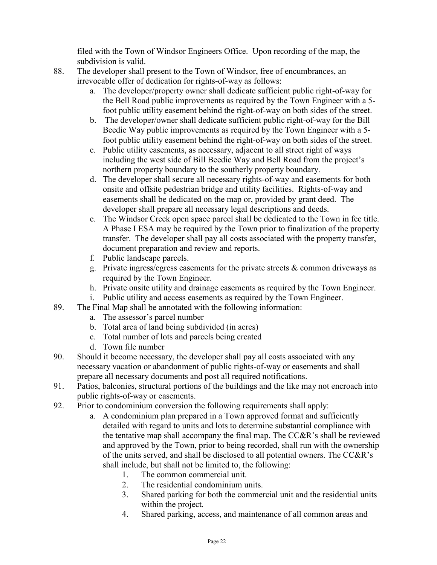filed with the Town of Windsor Engineers Office. Upon recording of the map, the subdivision is valid.

- 88. The developer shall present to the Town of Windsor, free of encumbrances, an irrevocable offer of dedication for rights-of-way as follows:
	- a. The developer/property owner shall dedicate sufficient public right-of-way for the Bell Road public improvements as required by the Town Engineer with a 5 foot public utility easement behind the right-of-way on both sides of the street.
	- b. The developer/owner shall dedicate sufficient public right-of-way for the Bill Beedie Way public improvements as required by the Town Engineer with a 5 foot public utility easement behind the right-of-way on both sides of the street.
	- c. Public utility easements, as necessary, adjacent to all street right of ways including the west side of Bill Beedie Way and Bell Road from the project's northern property boundary to the southerly property boundary.
	- d. The developer shall secure all necessary rights-of-way and easements for both onsite and offsite pedestrian bridge and utility facilities. Rights-of-way and easements shall be dedicated on the map or, provided by grant deed. The developer shall prepare all necessary legal descriptions and deeds.
	- e. The Windsor Creek open space parcel shall be dedicated to the Town in fee title. A Phase I ESA may be required by the Town prior to finalization of the property transfer. The developer shall pay all costs associated with the property transfer, document preparation and review and reports.
	- f. Public landscape parcels.
	- g. Private ingress/egress easements for the private streets  $\&$  common driveways as required by the Town Engineer.
	- h. Private onsite utility and drainage easements as required by the Town Engineer.
	- i. Public utility and access easements as required by the Town Engineer.
- 89. The Final Map shall be annotated with the following information:
	- a. The assessor's parcel number
	- b. Total area of land being subdivided (in acres)
	- c. Total number of lots and parcels being created
	- d. Town file number
- 90. Should it become necessary, the developer shall pay all costs associated with any necessary vacation or abandonment of public rights-of-way or easements and shall prepare all necessary documents and post all required notifications.
- 91. Patios, balconies, structural portions of the buildings and the like may not encroach into public rights-of-way or easements.
- 92. Prior to condominium conversion the following requirements shall apply:
	- a. A condominium plan prepared in a Town approved format and sufficiently detailed with regard to units and lots to determine substantial compliance with the tentative map shall accompany the final map. The CC&R's shall be reviewed and approved by the Town, prior to being recorded, shall run with the ownership of the units served, and shall be disclosed to all potential owners. The CC&R's shall include, but shall not be limited to, the following:
		- 1. The common commercial unit.
		- 2. The residential condominium units.
		- 3. Shared parking for both the commercial unit and the residential units within the project.
		- 4. Shared parking, access, and maintenance of all common areas and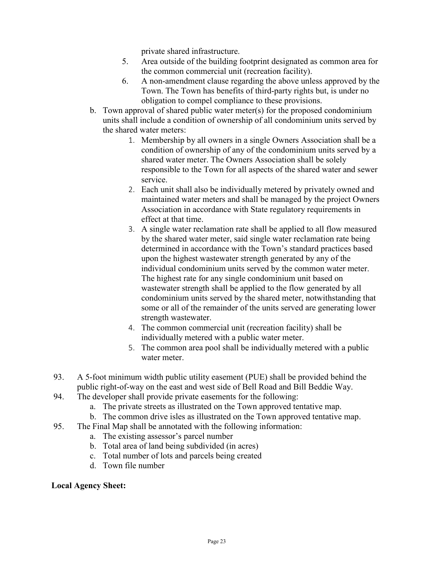private shared infrastructure.

- 5. Area outside of the building footprint designated as common area for the common commercial unit (recreation facility).
- 6. A non-amendment clause regarding the above unless approved by the Town. The Town has benefits of third-party rights but, is under no obligation to compel compliance to these provisions.
- b. Town approval of shared public water meter(s) for the proposed condominium units shall include a condition of ownership of all condominium units served by the shared water meters:
	- 1. Membership by all owners in a single Owners Association shall be a condition of ownership of any of the condominium units served by a shared water meter. The Owners Association shall be solely responsible to the Town for all aspects of the shared water and sewer service.
	- 2. Each unit shall also be individually metered by privately owned and maintained water meters and shall be managed by the project Owners Association in accordance with State regulatory requirements in effect at that time.
	- 3. A single water reclamation rate shall be applied to all flow measured by the shared water meter, said single water reclamation rate being determined in accordance with the Town's standard practices based upon the highest wastewater strength generated by any of the individual condominium units served by the common water meter. The highest rate for any single condominium unit based on wastewater strength shall be applied to the flow generated by all condominium units served by the shared meter, notwithstanding that some or all of the remainder of the units served are generating lower strength wastewater.
	- 4. The common commercial unit (recreation facility) shall be individually metered with a public water meter.
	- 5. The common area pool shall be individually metered with a public water meter.
- 93. A 5-foot minimum width public utility easement (PUE) shall be provided behind the public right-of-way on the east and west side of Bell Road and Bill Beddie Way.
- 94. The developer shall provide private easements for the following:
	- a. The private streets as illustrated on the Town approved tentative map.
	- b. The common drive isles as illustrated on the Town approved tentative map.
- 95. The Final Map shall be annotated with the following information:
	- a. The existing assessor's parcel number
	- b. Total area of land being subdivided (in acres)
	- c. Total number of lots and parcels being created
	- d. Town file number

## **Local Agency Sheet:**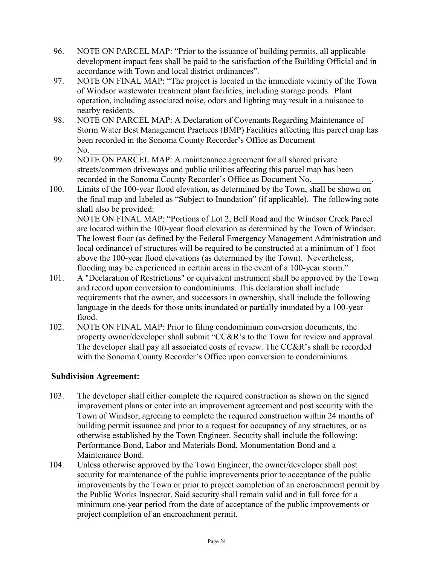- 96. NOTE ON PARCEL MAP: "Prior to the issuance of building permits, all applicable development impact fees shall be paid to the satisfaction of the Building Official and in accordance with Town and local district ordinances".
- 97. NOTE ON FINAL MAP: "The project is located in the immediate vicinity of the Town of Windsor wastewater treatment plant facilities, including storage ponds. Plant operation, including associated noise, odors and lighting may result in a nuisance to nearby residents.
- 98. NOTE ON PARCEL MAP: A Declaration of Covenants Regarding Maintenance of Storm Water Best Management Practices (BMP) Facilities affecting this parcel map has been recorded in the Sonoma County Recorder's Office as Document No.
- 99. NOTE ON PARCEL MAP: A maintenance agreement for all shared private streets/common driveways and public utilities affecting this parcel map has been recorded in the Sonoma County Recorder's Office as Document No.
- 100. Limits of the 100-year flood elevation, as determined by the Town, shall be shown on the final map and labeled as "Subject to Inundation" (if applicable). The following note shall also be provided: NOTE ON FINAL MAP: "Portions of Lot 2, Bell Road and the Windsor Creek Parcel are located within the 100-year flood elevation as determined by the Town of Windsor. The lowest floor (as defined by the Federal Emergency Management Administration and local ordinance) of structures will be required to be constructed at a minimum of 1 foot above the 100-year flood elevations (as determined by the Town). Nevertheless,
- flooding may be experienced in certain areas in the event of a 100-year storm." 101. A "Declaration of Restrictions" or equivalent instrument shall be approved by the Town and record upon conversion to condominiums. This declaration shall include requirements that the owner, and successors in ownership, shall include the following language in the deeds for those units inundated or partially inundated by a 100-year
	- flood.
- 102. NOTE ON FINAL MAP: Prior to filing condominium conversion documents, the property owner/developer shall submit "CC&R's to the Town for review and approval. The developer shall pay all associated costs of review. The CC&R's shall be recorded with the Sonoma County Recorder's Office upon conversion to condominiums.

## **Subdivision Agreement:**

- 103. The developer shall either complete the required construction as shown on the signed improvement plans or enter into an improvement agreement and post security with the Town of Windsor, agreeing to complete the required construction within 24 months of building permit issuance and prior to a request for occupancy of any structures, or as otherwise established by the Town Engineer. Security shall include the following: Performance Bond, Labor and Materials Bond, Monumentation Bond and a Maintenance Bond.
- 104. Unless otherwise approved by the Town Engineer, the owner/developer shall post security for maintenance of the public improvements prior to acceptance of the public improvements by the Town or prior to project completion of an encroachment permit by the Public Works Inspector. Said security shall remain valid and in full force for a minimum one-year period from the date of acceptance of the public improvements or project completion of an encroachment permit.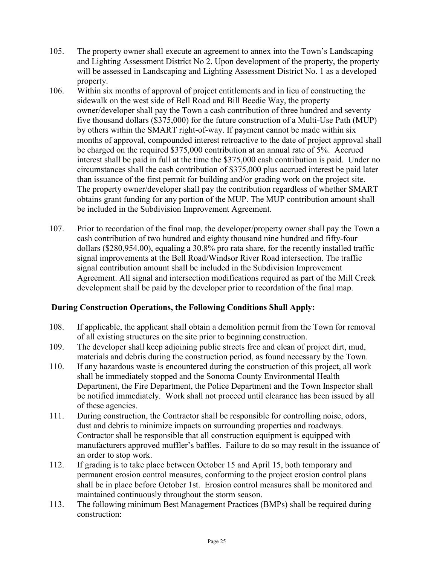- 105. The property owner shall execute an agreement to annex into the Town's Landscaping and Lighting Assessment District No 2. Upon development of the property, the property will be assessed in Landscaping and Lighting Assessment District No. 1 as a developed property.
- 106. Within six months of approval of project entitlements and in lieu of constructing the sidewalk on the west side of Bell Road and Bill Beedie Way, the property owner/developer shall pay the Town a cash contribution of three hundred and seventy five thousand dollars (\$375,000) for the future construction of a Multi-Use Path (MUP) by others within the SMART right-of-way. If payment cannot be made within six months of approval, compounded interest retroactive to the date of project approval shall be charged on the required \$375,000 contribution at an annual rate of 5%. Accrued interest shall be paid in full at the time the \$375,000 cash contribution is paid. Under no circumstances shall the cash contribution of \$375,000 plus accrued interest be paid later than issuance of the first permit for building and/or grading work on the project site. The property owner/developer shall pay the contribution regardless of whether SMART obtains grant funding for any portion of the MUP. The MUP contribution amount shall be included in the Subdivision Improvement Agreement.
- 107. Prior to recordation of the final map, the developer/property owner shall pay the Town a cash contribution of two hundred and eighty thousand nine hundred and fifty-four dollars (\$280,954.00), equaling a 30.8% pro rata share, for the recently installed traffic signal improvements at the Bell Road/Windsor River Road intersection. The traffic signal contribution amount shall be included in the Subdivision Improvement Agreement. All signal and intersection modifications required as part of the Mill Creek development shall be paid by the developer prior to recordation of the final map.

## **During Construction Operations, the Following Conditions Shall Apply:**

- 108. If applicable, the applicant shall obtain a demolition permit from the Town for removal of all existing structures on the site prior to beginning construction.
- 109. The developer shall keep adjoining public streets free and clean of project dirt, mud, materials and debris during the construction period, as found necessary by the Town.
- 110. If any hazardous waste is encountered during the construction of this project, all work shall be immediately stopped and the Sonoma County Environmental Health Department, the Fire Department, the Police Department and the Town Inspector shall be notified immediately. Work shall not proceed until clearance has been issued by all of these agencies.
- 111. During construction, the Contractor shall be responsible for controlling noise, odors, dust and debris to minimize impacts on surrounding properties and roadways. Contractor shall be responsible that all construction equipment is equipped with manufacturers approved muffler's baffles. Failure to do so may result in the issuance of an order to stop work.
- 112. If grading is to take place between October 15 and April 15, both temporary and permanent erosion control measures, conforming to the project erosion control plans shall be in place before October 1st. Erosion control measures shall be monitored and maintained continuously throughout the storm season.
- 113. The following minimum Best Management Practices (BMPs) shall be required during construction: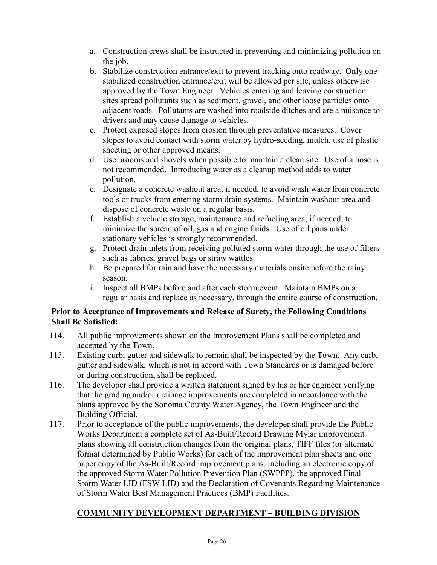- a. Construction crews shall be instructed in preventing and minimizing pollution on the job.
- b. Stabilize construction entrance/exit to prevent tracking onto roadway. Only one stabilized construction entrance/exit will be allowed per site, unless otherwise approved by the Town Engineer. Vehicles entering and leaving construction sites spread pollutants such as sediment, gravel, and other loose particles onto adjacent roads. Pollutants are washed into roadside ditches and are a nuisance to drivers and may cause damage to vehicles.
- c. Protect exposed slopes from erosion through preventative measures. Cover slopes to avoid contact with storm water by hydro-seeding, mulch, use of plastic sheeting or other approved means.
- d. Use brooms and shovels when possible to maintain a clean site. Use of a hose is not recommended. Introducing water as a cleanup method adds to water pollution.
- e. Designate a concrete washout area, if needed, to avoid wash water from concrete tools or trucks from entering storm drain systems. Maintain washout area and dispose of concrete waste on a regular basis.
- f. Establish a vehicle storage, maintenance and refueling area, if needed, to minimize the spread of oil, gas and engine fluids. Use of oil pans under stationary vehicles is strongly recommended.
- g. Protect drain inlets from receiving polluted storm water through the use of filters such as fabrics, gravel bags or straw wattles.
- h. Be prepared for rain and have the necessary materials onsite before the rainy season.
- i. Inspect all BMPs before and after each storm event. Maintain BMPs on a regular basis and replace as necessary, through the entire course of construction.

## **Prior to Acceptance of Improvements and Release of Surety, the Following Conditions Shall Be Satisfied:**

- 114. All public improvements shown on the Improvement Plans shall be completed and accepted by the Town.
- 115. Existing curb, gutter and sidewalk to remain shall be inspected by the Town. Any curb, gutter and sidewalk, which is not in accord with Town Standards or is damaged before or during construction, shall be replaced.
- 116. The developer shall provide a written statement signed by his or her engineer verifying that the grading and/or drainage improvements are completed in accordance with the plans approved by the Sonoma County Water Agency, the Town Engineer and the Building Official.
- 117. Prior to acceptance of the public improvements, the developer shall provide the Public Works Department a complete set of As-Built/Record Drawing Mylar improvement plans showing all construction changes from the original plans, TIFF files (or alternate format determined by Public Works) for each of the improvement plan sheets and one paper copy of the As-Built/Record improvement plans, including an electronic copy of the approved Storm Water Pollution Prevention Plan (SWPPP), the approved Final Storm Water LID (FSW LID) and the Declaration of Covenants Regarding Maintenance of Storm Water Best Management Practices (BMP) Facilities.

# **COMMUNITY DEVELOPMENT DEPARTMENT – BUILDING DIVISION**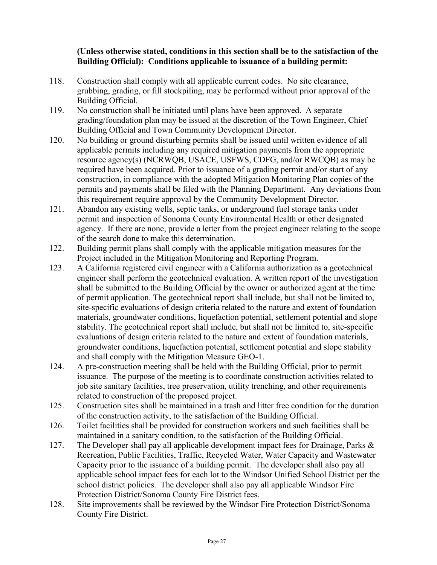#### **(Unless otherwise stated, conditions in this section shall be to the satisfaction of the Building Official): Conditions applicable to issuance of a building permit:**

- 118. Construction shall comply with all applicable current codes. No site clearance, grubbing, grading, or fill stockpiling, may be performed without prior approval of the Building Official.
- 119. No construction shall be initiated until plans have been approved. A separate grading/foundation plan may be issued at the discretion of the Town Engineer, Chief Building Official and Town Community Development Director.
- 120. No building or ground disturbing permits shall be issued until written evidence of all applicable permits including any required mitigation payments from the appropriate resource agency(s) (NCRWQB, USACE, USFWS, CDFG, and/or RWCQB) as may be required have been acquired. Prior to issuance of a grading permit and/or start of any construction, in compliance with the adopted Mitigation Monitoring Plan copies of the permits and payments shall be filed with the Planning Department. Any deviations from this requirement require approval by the Community Development Director.
- 121. Abandon any existing wells, septic tanks, or underground fuel storage tanks under permit and inspection of Sonoma County Environmental Health or other designated agency. If there are none, provide a letter from the project engineer relating to the scope of the search done to make this determination.
- 122. Building permit plans shall comply with the applicable mitigation measures for the Project included in the Mitigation Monitoring and Reporting Program.
- 123. A California registered civil engineer with a California authorization as a geotechnical engineer shall perform the geotechnical evaluation. A written report of the investigation shall be submitted to the Building Official by the owner or authorized agent at the time of permit application. The geotechnical report shall include, but shall not be limited to, site-specific evaluations of design criteria related to the nature and extent of foundation materials, groundwater conditions, liquefaction potential, settlement potential and slope stability. The geotechnical report shall include, but shall not be limited to, site-specific evaluations of design criteria related to the nature and extent of foundation materials, groundwater conditions, liquefaction potential, settlement potential and slope stability and shall comply with the Mitigation Measure GEO-1.
- 124. A pre-construction meeting shall be held with the Building Official, prior to permit issuance. The purpose of the meeting is to coordinate construction activities related to job site sanitary facilities, tree preservation, utility trenching, and other requirements related to construction of the proposed project.
- 125. Construction sites shall be maintained in a trash and litter free condition for the duration of the construction activity, to the satisfaction of the Building Official.
- 126. Toilet facilities shall be provided for construction workers and such facilities shall be maintained in a sanitary condition, to the satisfaction of the Building Official.
- 127. The Developer shall pay all applicable development impact fees for Drainage, Parks & Recreation, Public Facilities, Traffic, Recycled Water, Water Capacity and Wastewater Capacity prior to the issuance of a building permit. The developer shall also pay all applicable school impact fees for each lot to the Windsor Unified School District per the school district policies. The developer shall also pay all applicable Windsor Fire Protection District/Sonoma County Fire District fees.
- 128. Site improvements shall be reviewed by the Windsor Fire Protection District/Sonoma County Fire District.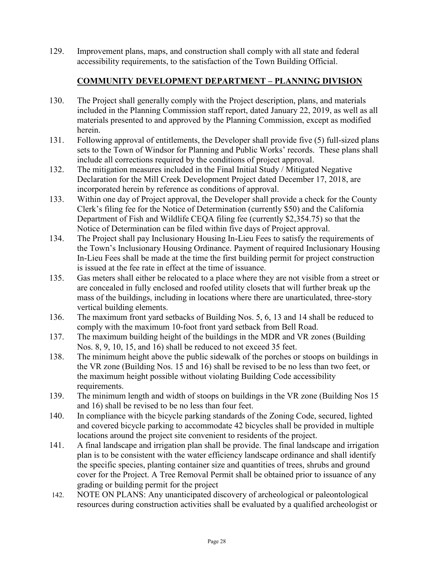129. Improvement plans, maps, and construction shall comply with all state and federal accessibility requirements, to the satisfaction of the Town Building Official.

## **COMMUNITY DEVELOPMENT DEPARTMENT – PLANNING DIVISION**

- 130. The Project shall generally comply with the Project description, plans, and materials included in the Planning Commission staff report, dated January 22, 2019, as well as all materials presented to and approved by the Planning Commission, except as modified herein.
- 131. Following approval of entitlements, the Developer shall provide five (5) full-sized plans sets to the Town of Windsor for Planning and Public Works' records. These plans shall include all corrections required by the conditions of project approval.
- 132. The mitigation measures included in the Final Initial Study / Mitigated Negative Declaration for the Mill Creek Development Project dated December 17, 2018, are incorporated herein by reference as conditions of approval.
- 133. Within one day of Project approval, the Developer shall provide a check for the County Clerk's filing fee for the Notice of Determination (currently \$50) and the California Department of Fish and Wildlife CEQA filing fee (currently \$2,354.75) so that the Notice of Determination can be filed within five days of Project approval.
- 134. The Project shall pay Inclusionary Housing In-Lieu Fees to satisfy the requirements of the Town's Inclusionary Housing Ordinance. Payment of required Inclusionary Housing In-Lieu Fees shall be made at the time the first building permit for project construction is issued at the fee rate in effect at the time of issuance.
- 135. Gas meters shall either be relocated to a place where they are not visible from a street or are concealed in fully enclosed and roofed utility closets that will further break up the mass of the buildings, including in locations where there are unarticulated, three-story vertical building elements.
- 136. The maximum front yard setbacks of Building Nos. 5, 6, 13 and 14 shall be reduced to comply with the maximum 10-foot front yard setback from Bell Road.
- 137. The maximum building height of the buildings in the MDR and VR zones (Building Nos. 8, 9, 10, 15, and 16) shall be reduced to not exceed 35 feet.
- 138. The minimum height above the public sidewalk of the porches or stoops on buildings in the VR zone (Building Nos. 15 and 16) shall be revised to be no less than two feet, or the maximum height possible without violating Building Code accessibility requirements.
- 139. The minimum length and width of stoops on buildings in the VR zone (Building Nos 15 and 16) shall be revised to be no less than four feet.
- 140. In compliance with the bicycle parking standards of the Zoning Code, secured, lighted and covered bicycle parking to accommodate 42 bicycles shall be provided in multiple locations around the project site convenient to residents of the project.
- 141. A final landscape and irrigation plan shall be provide. The final landscape and irrigation plan is to be consistent with the water efficiency landscape ordinance and shall identify the specific species, planting container size and quantities of trees, shrubs and ground cover for the Project. A Tree Removal Permit shall be obtained prior to issuance of any grading or building permit for the project
- 142. NOTE ON PLANS: Any unanticipated discovery of archeological or paleontological resources during construction activities shall be evaluated by a qualified archeologist or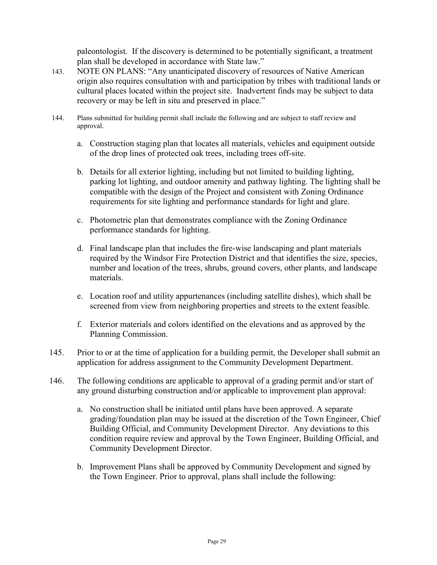paleontologist. If the discovery is determined to be potentially significant, a treatment plan shall be developed in accordance with State law."

- 143. NOTE ON PLANS: "Any unanticipated discovery of resources of Native American origin also requires consultation with and participation by tribes with traditional lands or cultural places located within the project site. Inadvertent finds may be subject to data recovery or may be left in situ and preserved in place."
- 144. Plans submitted for building permit shall include the following and are subject to staff review and approval.
	- a. Construction staging plan that locates all materials, vehicles and equipment outside of the drop lines of protected oak trees, including trees off-site.
	- b. Details for all exterior lighting, including but not limited to building lighting, parking lot lighting, and outdoor amenity and pathway lighting. The lighting shall be compatible with the design of the Project and consistent with Zoning Ordinance requirements for site lighting and performance standards for light and glare.
	- c. Photometric plan that demonstrates compliance with the Zoning Ordinance performance standards for lighting.
	- d. Final landscape plan that includes the fire-wise landscaping and plant materials required by the Windsor Fire Protection District and that identifies the size, species, number and location of the trees, shrubs, ground covers, other plants, and landscape materials.
	- e. Location roof and utility appurtenances (including satellite dishes), which shall be screened from view from neighboring properties and streets to the extent feasible.
	- f. Exterior materials and colors identified on the elevations and as approved by the Planning Commission.
- 145. Prior to or at the time of application for a building permit, the Developer shall submit an application for address assignment to the Community Development Department.
- 146. The following conditions are applicable to approval of a grading permit and/or start of any ground disturbing construction and/or applicable to improvement plan approval:
	- a. No construction shall be initiated until plans have been approved. A separate grading/foundation plan may be issued at the discretion of the Town Engineer, Chief Building Official, and Community Development Director. Any deviations to this condition require review and approval by the Town Engineer, Building Official, and Community Development Director.
	- b. Improvement Plans shall be approved by Community Development and signed by the Town Engineer. Prior to approval, plans shall include the following: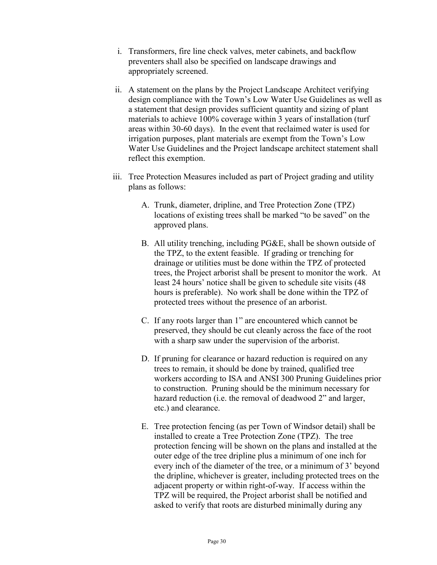- i. Transformers, fire line check valves, meter cabinets, and backflow preventers shall also be specified on landscape drawings and appropriately screened.
- ii. A statement on the plans by the Project Landscape Architect verifying design compliance with the Town's Low Water Use Guidelines as well as a statement that design provides sufficient quantity and sizing of plant materials to achieve 100% coverage within 3 years of installation (turf areas within 30-60 days). In the event that reclaimed water is used for irrigation purposes, plant materials are exempt from the Town's Low Water Use Guidelines and the Project landscape architect statement shall reflect this exemption.
- iii. Tree Protection Measures included as part of Project grading and utility plans as follows:
	- A. Trunk, diameter, dripline, and Tree Protection Zone (TPZ) locations of existing trees shall be marked "to be saved" on the approved plans.
	- B. All utility trenching, including PG&E, shall be shown outside of the TPZ, to the extent feasible. If grading or trenching for drainage or utilities must be done within the TPZ of protected trees, the Project arborist shall be present to monitor the work. At least 24 hours' notice shall be given to schedule site visits (48 hours is preferable). No work shall be done within the TPZ of protected trees without the presence of an arborist.
	- C. If any roots larger than 1" are encountered which cannot be preserved, they should be cut cleanly across the face of the root with a sharp saw under the supervision of the arborist.
	- D. If pruning for clearance or hazard reduction is required on any trees to remain, it should be done by trained, qualified tree workers according to ISA and ANSI 300 Pruning Guidelines prior to construction. Pruning should be the minimum necessary for hazard reduction (i.e. the removal of deadwood 2" and larger, etc.) and clearance.
	- E. Tree protection fencing (as per Town of Windsor detail) shall be installed to create a Tree Protection Zone (TPZ). The tree protection fencing will be shown on the plans and installed at the outer edge of the tree dripline plus a minimum of one inch for every inch of the diameter of the tree, or a minimum of 3' beyond the dripline, whichever is greater, including protected trees on the adjacent property or within right-of-way. If access within the TPZ will be required, the Project arborist shall be notified and asked to verify that roots are disturbed minimally during any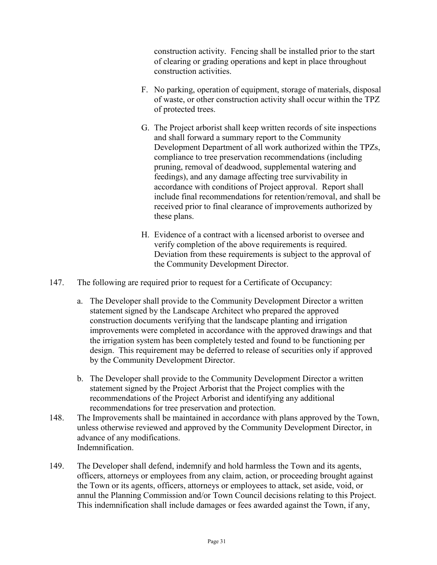construction activity. Fencing shall be installed prior to the start of clearing or grading operations and kept in place throughout construction activities.

- F. No parking, operation of equipment, storage of materials, disposal of waste, or other construction activity shall occur within the TPZ of protected trees.
- G. The Project arborist shall keep written records of site inspections and shall forward a summary report to the Community Development Department of all work authorized within the TPZs, compliance to tree preservation recommendations (including pruning, removal of deadwood, supplemental watering and feedings), and any damage affecting tree survivability in accordance with conditions of Project approval. Report shall include final recommendations for retention/removal, and shall be received prior to final clearance of improvements authorized by these plans.
- H. Evidence of a contract with a licensed arborist to oversee and verify completion of the above requirements is required. Deviation from these requirements is subject to the approval of the Community Development Director.
- 147. The following are required prior to request for a Certificate of Occupancy:
	- a. The Developer shall provide to the Community Development Director a written statement signed by the Landscape Architect who prepared the approved construction documents verifying that the landscape planting and irrigation improvements were completed in accordance with the approved drawings and that the irrigation system has been completely tested and found to be functioning per design. This requirement may be deferred to release of securities only if approved by the Community Development Director.
	- b. The Developer shall provide to the Community Development Director a written statement signed by the Project Arborist that the Project complies with the recommendations of the Project Arborist and identifying any additional recommendations for tree preservation and protection.
- 148. The Improvements shall be maintained in accordance with plans approved by the Town, unless otherwise reviewed and approved by the Community Development Director, in advance of any modifications. Indemnification.
- 149. The Developer shall defend, indemnify and hold harmless the Town and its agents, officers, attorneys or employees from any claim, action, or proceeding brought against the Town or its agents, officers, attorneys or employees to attack, set aside, void, or annul the Planning Commission and/or Town Council decisions relating to this Project. This indemnification shall include damages or fees awarded against the Town, if any,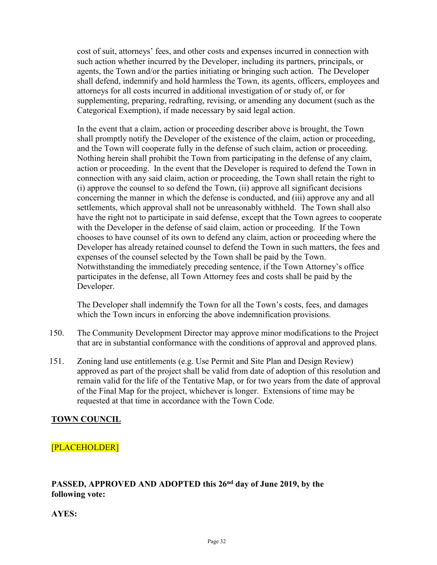cost of suit, attorneys' fees, and other costs and expenses incurred in connection with such action whether incurred by the Developer, including its partners, principals, or agents, the Town and/or the parties initiating or bringing such action. The Developer shall defend, indemnify and hold harmless the Town, its agents, officers, employees and attorneys for all costs incurred in additional investigation of or study of, or for supplementing, preparing, redrafting, revising, or amending any document (such as the Categorical Exemption), if made necessary by said legal action.

In the event that a claim, action or proceeding describer above is brought, the Town shall promptly notify the Developer of the existence of the claim, action or proceeding, and the Town will cooperate fully in the defense of such claim, action or proceeding. Nothing herein shall prohibit the Town from participating in the defense of any claim, action or proceeding. In the event that the Developer is required to defend the Town in connection with any said claim, action or proceeding, the Town shall retain the right to (i) approve the counsel to so defend the Town, (ii) approve all significant decisions concerning the manner in which the defense is conducted, and (iii) approve any and all settlements, which approval shall not be unreasonably withheld. The Town shall also have the right not to participate in said defense, except that the Town agrees to cooperate with the Developer in the defense of said claim, action or proceeding. If the Town chooses to have counsel of its own to defend any claim, action or proceeding where the Developer has already retained counsel to defend the Town in such matters, the fees and expenses of the counsel selected by the Town shall be paid by the Town. Notwithstanding the immediately preceding sentence, if the Town Attorney's office participates in the defense, all Town Attorney fees and costs shall be paid by the Developer.

The Developer shall indemnify the Town for all the Town's costs, fees, and damages which the Town incurs in enforcing the above indemnification provisions.

- 150. The Community Development Director may approve minor modifications to the Project that are in substantial conformance with the conditions of approval and approved plans.
- 151. Zoning land use entitlements (e.g. Use Permit and Site Plan and Design Review) approved as part of the project shall be valid from date of adoption of this resolution and remain valid for the life of the Tentative Map, or for two years from the date of approval of the Final Map for the project, whichever is longer. Extensions of time may be requested at that time in accordance with the Town Code.

# **TOWN COUNCIL**

## [PLACEHOLDER]

## **PASSED, APPROVED AND ADOPTED this 26nd day of June 2019, by the following vote:**

**AYES:**